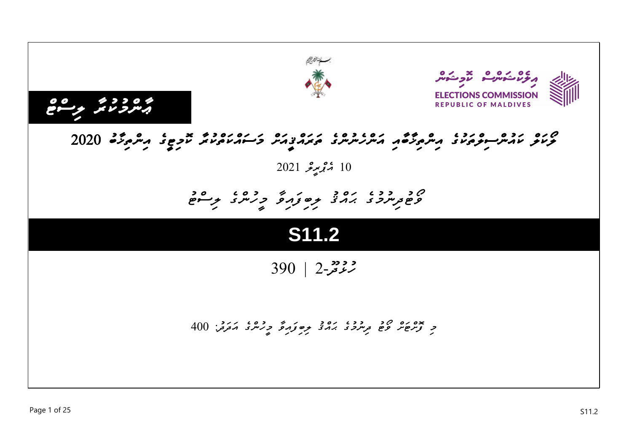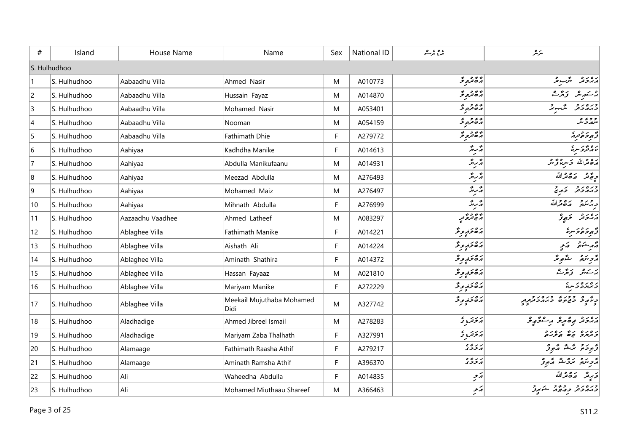| #              | Island       | House Name       | Name                              | Sex         | National ID | ، ه ، ره<br>مربح برگ                             | ىئرىتر                                                                |
|----------------|--------------|------------------|-----------------------------------|-------------|-------------|--------------------------------------------------|-----------------------------------------------------------------------|
|                | S. Hulhudhoo |                  |                                   |             |             |                                                  |                                                                       |
|                | S. Hulhudhoo | Aabaadhu Villa   | Ahmed Nasir                       | ${\sf M}$   | A010773     | ۇ ئەقرە بۇ                                       | أرور والمرسور                                                         |
| $\overline{c}$ | S. Hulhudhoo | Aabaadhu Villa   | Hussain Fayaz                     | M           | A014870     | ترځ ترو ځه                                       | جر سەر بىر ئەرگەشى<br>مەم                                             |
| 3              | S. Hulhudhoo | Aabaadhu Villa   | Mohamed Nasir                     | ${\sf M}$   | A053401     | پژځورنځه                                         | ورەرو شبەر                                                            |
| $\vert 4$      | S. Hulhudhoo | Aabaadhu Villa   | Nooman                            | ${\sf M}$   | A054159     | پژځورنځه                                         | پر پر محمد                                                            |
| 5              | S. Hulhudhoo | Aabaadhu Villa   | Fathimath Dhie                    | F           | A279772     | ۇ ئەقرە ئە                                       | ۇ ب <sub>ە</sub> جۇ تەرەپ                                             |
| $\sqrt{6}$     | S. Hulhudhoo | Aahiyaa          | Kadhdha Manike                    | F           | A014613     | وژر پژ                                           | ره ور<br>باړو ترد سربا                                                |
| $\overline{7}$ | S. Hulhudhoo | Aahiyaa          | Abdulla Manikufaanu               | M           | A014931     | ومرير                                            | مَدْهَ مَّدَاللَّهُ كَسِرْ مُؤَسَّر                                   |
| 8              | S. Hulhudhoo | Aahiyaa          | Meezad Abdulla                    | M           | A276493     | وشرير                                            | حِ يَجْعَدُ صَدَّةَ اللَّهَ                                           |
| 9              | S. Hulhudhoo | Aahiyaa          | Mohamed Maiz                      | ${\sf M}$   | A276497     | ومحرمر                                           |                                                                       |
| 10             | S. Hulhudhoo | Aahiyaa          | Mihnath Abdulla                   | F           | A276999     | ومحرمته                                          | حرج مقاللة                                                            |
| 11             | S. Hulhudhoo | Aazaadhu Vaadhee | Ahmed Latheef                     | M           | A083297     | ا پر پر بر بر دید.<br>  در سی تعری <sub>قی</sub> | رەر ئەچ                                                               |
| 12             | S. Hulhudhoo | Ablaghee Villa   | Fathimath Manike                  | F           | A014221     | رە ئەر بۇ                                        | ا توجه چې تر پر تاريخ<br>افزاير                                       |
| 13             | S. Hulhudhoo | Ablaghee Villa   | Aishath Ali                       | F           | A014224     | رە ئەرەپ<br>ئ                                    |                                                                       |
| 14             | S. Hulhudhoo | Ablaghee Villa   | Aminath Shathira                  | F           | A014372     | رە ئەر بۇ                                        |                                                                       |
| 15             | S. Hulhudhoo | Ablaghee Villa   | Hassan Fayaaz                     | M           | A021810     | <br>  پەھ ئەزەر بىر                              | برستان تواثرت                                                         |
| 16             | S. Hulhudhoo | Ablaghee Villa   | Mariyam Manike                    | F           | A272229     | پەھ ئەزەر ئى                                     | د وړود سره                                                            |
| 17             | S. Hulhudhoo | Ablaghee Villa   | Meekail Mujuthaba Mohamed<br>Didi | ${\sf M}$   | A327742     | رَ چوَ زِهِ بَحْر                                | د شهر و د د بر د د د د د در د د .<br>د شهر و د و ه ه د بر د د د د د د |
| 18             | S. Hulhudhoo | Aladhadige       | Ahmed Jibreel Ismail              | ${\sf M}$   | A278283     | رئم تورد ع                                       | رەرو بىھىرو رىشۇر                                                     |
| 19             | S. Hulhudhoo | Aladhadige       | Mariyam Zaba Thalhath             | F           | A327991     | بر بر بر بر<br>  پر <del>تو</del> تر ۽ تر        |                                                                       |
| 20             | S. Hulhudhoo | Alamaage         | Fathimath Raasha Athif            | $\mathsf F$ | A279217     | پر پڑی                                           | توجوحو تركش وجوز                                                      |
| 21             | S. Hulhudhoo | Alamaage         | Aminath Ramsha Athif              | F           | A396370     | ر ر » ><br>د <del>و</del> و د                    | أأد مرة أمره شاه أو و                                                 |
| 22             | S. Hulhudhoo | Ali              | Waheedha Abdulla                  | F           | A014835     | ترمر                                             | ع بيعد صحيح الله                                                      |
| 23             | S. Hulhudhoo | Ali              | Mohamed Miuthaau Shareef          | ${\sf M}$   | A366463     | بزمر                                             | وره دو و و و د عربرو                                                  |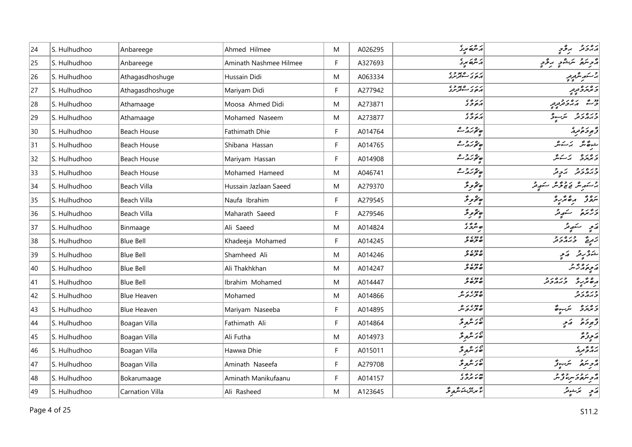| 24 | S. Hulhudhoo | Anbareege              | Ahmed Hilmee           | M  | A026295 | <br>  پر سرچ سری                          | رەرد رو <sub>و</sub>                                           |
|----|--------------|------------------------|------------------------|----|---------|-------------------------------------------|----------------------------------------------------------------|
| 25 | S. Hulhudhoo | Anbareege              | Aminath Nashmee Hilmee | F. | A327693 | بر 20 پر <sup>ج</sup>                     |                                                                |
| 26 | S. Hulhudhoo | Athagasdhoshuge        | Hussain Didi           | M  | A063334 | د د د _ ه پو و د<br>  پرچ ي سوفرمزی       |                                                                |
| 27 | S. Hulhudhoo | Athagasdhoshuge        | Mariyam Didi           | F. | A277942 | د د د _ ه پو د د<br>اړه ی سوترس           | ر و رو<br>تر پر ژوپر                                           |
| 28 | S. Hulhudhoo | Athamaage              | Moosa Ahmed Didi       | M  | A273871 | بر بر بر پر<br>مرکوبر ک                   |                                                                |
| 29 | S. Hulhudhoo | Athamaage              | Mohamed Naseem         | M  | A273877 | بر بر بو پر<br>مرکوبو <sub>م</sub> ی      | ورەرو شرىدۇ                                                    |
| 30 | S. Hulhudhoo | <b>Beach House</b>     | <b>Fathimath Dhie</b>  | F  | A014764 | 25/8                                      | ۇ بو <i>خ</i> وتىرىگە                                          |
| 31 | S. Hulhudhoo | <b>Beach House</b>     | Shibana Hassan         | F  | A014765 | ھەممەر جە                                 | خوڭ سىر كەسكەنلەر                                              |
| 32 | S. Hulhudhoo | <b>Beach House</b>     | Mariyam Hassan         | F. | A014908 | ە ئۇ ئەمر م                               | رەرە يەسەر                                                     |
| 33 | S. Hulhudhoo | <b>Beach House</b>     | Mohamed Hameed         | M  | A046741 | پر پر ژے                                  | כנסנכ נכנ                                                      |
| 34 | S. Hulhudhoo | <b>Beach Villa</b>     | Hussain Jazlaan Saeed  | M  | A279370 | په محرمو محر                              | و ہے میں اس کے مقابل کر دیا ہے۔<br>بر سوریاس کے بی شرکت کے ایس |
| 35 | S. Hulhudhoo | Beach Villa            | Naufa Ibrahim          | F  | A279545 | ھەمچە ھەقىر<br>ئ <sup>ى</sup>             | برە ئەھترىر                                                    |
| 36 | S. Hulhudhoo | Beach Villa            | Maharath Saeed         | F  | A279546 | ھەمجەھ <sub>ر</sub> ىتى<br>ئ <sup>ە</sup> | و د د د د د د                                                  |
| 37 | S. Hulhudhoo | Binmaage               | Ali Saeed              | M  | A014824 | ە بەرى<br>مەشرىرى                         | ديم سکھي <sup>ت</sup> ر                                        |
| 38 | S. Hulhudhoo | <b>Blue Bell</b>       | Khadeeja Mohamed       | F  | A014245 | ه دو د ه<br>ن <i>ه م</i> ون مو            | تزمريح وزودور                                                  |
| 39 | S. Hulhudhoo | <b>Blue Bell</b>       | Shamheed Ali           | M  | A014246 | ه دو ، ه<br>حوړه گر                       |                                                                |
| 40 | S. Hulhudhoo | <b>Blue Bell</b>       | Ali Thakhkhan          | M  | A014247 | ه دو ، ه<br>حوره نو                       | ر<br>موءَ دشتر                                                 |
| 41 | S. Hulhudhoo | <b>Blue Bell</b>       | Ibrahim Mohamed        | M  | A014447 | ه دد › ه<br>حوره گر                       | وەتزىرى<br>و ر ه ر و<br>تر پروتر                               |
| 42 | S. Hulhudhoo | <b>Blue Heaven</b>     | Mohamed                | M  | A014866 | ه دو ، ر ه<br><i>ه مور و</i> س            | و ر ه ر و<br><i>و بر د</i> تر                                  |
| 43 | S. Hulhudhoo | <b>Blue Heaven</b>     | Mariyam Naseeba        | F  | A014895 | ه دوی ر ه<br><i>ه مور</i> و مگر           | ر ه ر ه<br><del>و</del> بربرو<br>سكرسبوة                       |
| 44 | S. Hulhudhoo | Boagan Villa           | Fathimath Ali          | F  | A014864 | 22 يىمبرى <del>گە</del>                   | ومجودة الأمي                                                   |
| 45 | S. Hulhudhoo | Boagan Villa           | Ali Futha              | M  | A014973 | صى متر <sub>م</sub> و محر                 | ەيپەدە                                                         |
| 46 | S. Hulhudhoo | Boagan Villa           | Hawwa Dhie             | F  | A015011 | ہ بر ہ<br> صی سر <sub>کو</sub> محر        | ره و درم<br>  براد و درم                                       |
| 47 | S. Hulhudhoo | Boagan Villa           | Aminath Naseefa        | F  | A279708 | ہ رہ<br> حوشور                            |                                                                |
| 48 | S. Hulhudhoo | Bokarumaage            | Aminath Manikufaanu    | F  | A014157 | پر ر و د و<br><i>ه ما بر و</i> د          |                                                                |
| 49 | S. Hulhudhoo | <b>Carnation Villa</b> | Ali Rasheed            | M  | A123645 | <i>، ئەر ئىزى</i> شەھرىم                  | أقاسح المخرجة                                                  |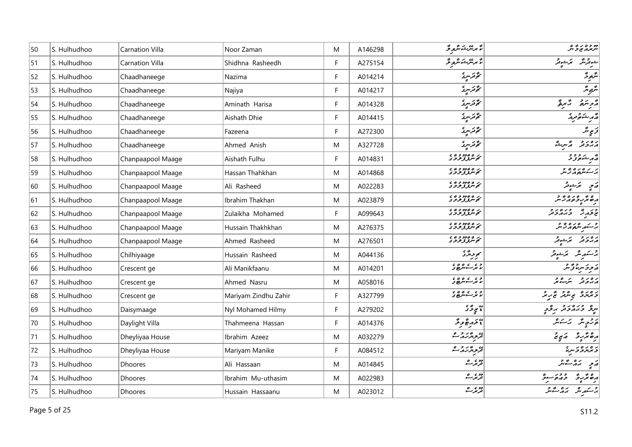| 50 | S. Hulhudhoo | <b>Carnation Villa</b> | Noor Zaman           | M         | A146298 | ئ <sup>ە</sup> بىرتىزىشەمىرىدۇ.                      | חז כם גם ס<br>ייתוב את זה כ                              |
|----|--------------|------------------------|----------------------|-----------|---------|------------------------------------------------------|----------------------------------------------------------|
| 51 | S. Hulhudhoo | <b>Carnation Villa</b> | Shidhna Rasheedh     | F.        | A275154 | ر<br>ئامرىتزىشەنل <i>ى</i> رى ق                      | اے وفرینگر کمرکے وفر<br>مسلمان میں میں وفریق             |
| 52 | S. Hulhudhoo | Chaadhaneege           | Nazima               | F.        | A014214 | ىگەنترس <sub>ى</sub> رى<br>ئ                         | شرېږ                                                     |
| 53 | S. Hulhudhoo | Chaadhaneege           | Najiya               | F.        | A014217 | ۇ ئەسرى<br>ئ                                         | متر <sub>مع</sub> پژ                                     |
| 54 | S. Hulhudhoo | Chaadhaneege           | Aminath Harisa       | F         | A014328 | ى<br>كۆمىرس <sub>ى</sub> رى                          | ה<br>הכיתם<br>برسمرة                                     |
| 55 | S. Hulhudhoo | Chaadhaneege           | Aishath Dhie         | F         | A014415 | ئۇ تىرس <sub>ى</sub> رى<br>ئ                         | و د شوه دره<br>د د شوه دره                               |
| 56 | S. Hulhudhoo | Chaadhaneege           | Fazeena              | F         | A272300 | ى<br>ئىرتىرسرى                                       | رَبچِیٹر                                                 |
| 57 | S. Hulhudhoo | Chaadhaneege           | Ahmed Anish          | M         | A327728 | كۇقرىبرى                                             | رەرو گەرگ                                                |
| 58 | S. Hulhudhoo | Chanpaapool Maage      | Aishath Fulhu        | F.        | A014831 | ر ۵ ۶ ۶۶ و ۶<br>که سرو پوتر و د                      | په په دود د<br>په په شوي ول                              |
| 59 | S. Hulhudhoo | Chanpaapool Maage      | Hassan Thahkhan      | M         | A014868 | ر ۵ ۶ ۶۶ و ۶<br>که سرو پوتر و د                      | ر<br>بر سەمبىرە بەر ئەس                                  |
| 60 | S. Hulhudhoo | Chanpaapool Maage      | Ali Rasheed          | M         | A022283 | ر ۵ ۶ ۶۶ و ۶<br>که سرو پوتر و د                      | أركمني المركب وتر                                        |
| 61 | S. Hulhudhoo | Chanpaapool Maage      | Ibrahim Thakhan      | M         | A023879 | ر ۵ ۶ <del>۶۶۵</del> و ۶<br>کاسرو پوترو ت            | ە ئەسىر <i>دەرە بەر</i>                                  |
| 62 | S. Hulhudhoo | Chanpaapool Maage      | Zulaikha Mohamed     | F         | A099643 | ر ۵ ۶ ۶۶۵ و.<br>که سرورمرد د                         | تح تحرمر جح<br>و رە ر د<br>تر پروتر                      |
| 63 | S. Hulhudhoo | Chanpaapool Maage      | Hussain Thakhkhan    | M         | A276375 | ر ۵ ۶ <del>۶۶۶</del><br>که سرو پوتر <del>و</del> ۶   | جەسىم شىھەر شىر                                          |
| 64 | S. Hulhudhoo | Chanpaapool Maage      | Ahmed Rasheed        | M         | A276501 | ر ۵ ۶ <del>۱</del> ۶۵ و ۲<br>که سرو و <del>و</del> ۶ | ره رو بر <sub>شو</sub> تر<br>درگرفتر بر <sub>شو</sub> تر |
| 65 | S. Hulhudhoo | Chilhiyaage            | Hussain Rasheed      | M         | A044136 | کی تو جرح<br>کے تو چرکی<br>کے ک                      | رح سكر مكر الكر كم يكون المر                             |
| 66 | S. Hulhudhoo | Crescent ge            | Ali Manikfaanu       | M         | A014201 | د ، می ه ه ه ،<br>ما تر سوره د                       | ئەبەر ئەرىرى ئەر<br>                                     |
| 67 | S. Hulhudhoo | Crescent ge            | Ahmed Nasru          | M         | A058016 | د ، د ه ه ه ،<br>پړېد شريع د                         | رەرد شبەر                                                |
| 68 | S. Hulhudhoo | Crescent ge            | Mariyam Zindhu Zahir | F.        | A327799 | د ، ، ، ه ه ،<br>پړې ک                               | وتروكر تم عرفه المحر بر                                  |
| 69 | S. Hulhudhoo | Daisymaage             | Nyl Mohamed Hilmy    | F         | A279202 | يم پر پر م<br>نام پر پر گر                           | سرو وبره د و برو <sub>ج</sub>                            |
| 70 | S. Hulhudhoo | Daylight Villa         | Thahmeena Hassan     | F         | A014376 | » ئەرق <sub>ى</sub> بۇ ئە                            | ۇرۇپىر بەسكىر                                            |
| 71 | S. Hulhudhoo | Dheyliyaa House        | Ibrahim Azeez        | M         | A032279 | ائىر پەرىر مەت<br>كىرىبەر بەر                        |                                                          |
| 72 | S. Hulhudhoo | Dheyliyaa House        | Mariyam Manike       | F         | A084512 | ،، پر پر و<br>تر پر بر بر گ                          | ر ہ ر ہ ر<br>3 پر پر 3 جس پر                             |
| 73 | S. Hulhudhoo | <b>Dhoores</b>         | Ali Hassaan          | ${\sf M}$ | A014845 | دد ۽ ه                                               | أەيم برە ئەتە                                            |
| 74 | S. Hulhudhoo | <b>Dhoores</b>         | Ibrahim Mu-uthasim   | M         | A022983 | دد ۽ ه                                               | ە ھېڭرىرى<br>بەھ ئىرىرى<br>7 - جوړ سوچ                   |
| 75 | S. Hulhudhoo | <b>Dhoores</b>         | Hussain Hassaanu     | M         | A023012 | ود ، م<br>تر بر ب                                    | ير سكهر شركة كرام مستقرر                                 |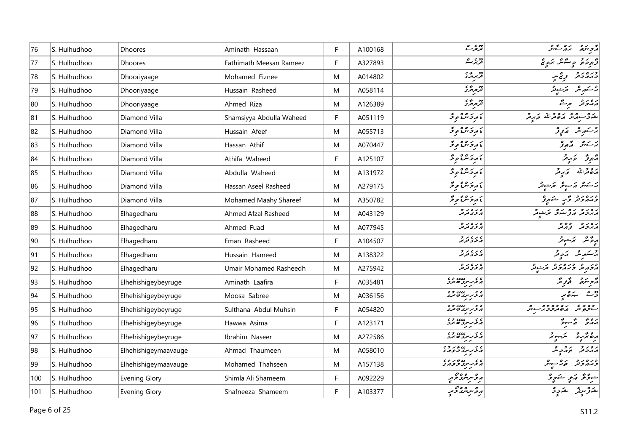| 76  | S. Hulhudhoo | Dhoores              | Aminath Hassaan          | F  | A100168 | ود ۽ ه                                                          | أأدوسي بالمراكب                              |
|-----|--------------|----------------------|--------------------------|----|---------|-----------------------------------------------------------------|----------------------------------------------|
| 77  | S. Hulhudhoo | <b>Dhoores</b>       | Fathimath Meesan Rameez  | F. | A327893 | دو ۽ ه                                                          | ژوده دیشر ټره                                |
| 78  | S. Hulhudhoo | Dhooriyaage          | Mohamed Fiznee           | M  | A014802 | وو<br>تر پورتر <sub>ک</sub>                                     | دېرورو روپنې                                 |
| 79  | S. Hulhudhoo | Dhooriyaage          | Hussain Rasheed          | M  | A058114 | وو<br>تر بر بر ی                                                | وكسكر مكرجوم                                 |
| 80  | S. Hulhudhoo | Dhooriyaage          | Ahmed Riza               | M  | A126389 | دد<br>تربربری                                                   | رەر دىر                                      |
| 81  | S. Hulhudhoo | Diamond Villa        | Shamsiyya Abdulla Waheed | F. | A051119 | ئەر ئەشۋ <sub>ىر</sub> ئ <sup>ۇ</sup>                           | خوص ومرتز وكافرالله عربير                    |
| 82  | S. Hulhudhoo | Diamond Villa        | Hussain Afeef            | M  | A055713 | ،<br>، مرځ مرغ و ځه                                             | ج سەر شەر ئەر ئ <sup>ە</sup> ر ئەر           |
| 83  | S. Hulhudhoo | Diamond Villa        | Hassan Athif             | M  | A070447 | ، دېره وگړ                                                      | برسەش ئەبور                                  |
| 84  | S. Hulhudhoo | Diamond Villa        | Athifa Waheed            | F. | A125107 | ئەر ئەشۋىرىگە                                                   | أوجوقر أوسيقر                                |
| 85  | S. Hulhudhoo | Diamond Villa        | Abdulla Waheed           | M  | A131972 | ئەر ئەمرىگە <sub>قو</sub> ڭر                                    | أرجح فمرالله عربر فمر                        |
| 86  | S. Hulhudhoo | Diamond Villa        | Hassan Aseel Rasheed     | M  | A279175 | ، ئەر ئەھ ئۇ                                                    | ەك كە كەسپەقى كەشپەتى                        |
| 87  | S. Hulhudhoo | Diamond Villa        | Mohamed Maahy Shareef    | M  | A350782 | ، در ده ده د                                                    | ورەر دې ئورگ                                 |
| 88  | S. Hulhudhoo | Elhagedharu          | Ahmed Afzal Rasheed      | M  | A043129 | ے رے ر و<br>پر تر تر بر                                         | رەر دەر دەر كەندە                            |
| 89  | S. Hulhudhoo | Elhagedharu          | Ahmed Fuad               | M  | A077945 | ی ر بے ر و<br>پر تر تر تر                                       | ره ر و و و د<br>مربرو تر تر و تر تر          |
| 90  | S. Hulhudhoo | Elhagedharu          | Eman Rasheed             | F  | A104507 | ے رے ر و<br>پر تر تر بر                                         | رگر ترجيز                                    |
| 91  | S. Hulhudhoo | Elhagedharu          | Hussain Hameed           | M  | A138322 | ے رے ر و<br>پرىل تعريمہ                                         | يز ستهر شه الكرج من                          |
| 92  | S. Hulhudhoo | Elhagedharu          | Umair Mohamed Rasheedh   | M  | A275942 | ے رے ر و<br>پر تر تر بر                                         | כן כ כנסני גייני                             |
| 93  | S. Hulhudhoo | Elhehishigeybeyruge  | Aminath Laafira          | F. | A035481 | ه ده ده ده د د د<br>  در نار در حد مرد<br>                      | مَّ دِ سَرَهٌ فَوَ مِّرَ                     |
| 94  | S. Hulhudhoo | Elhehishigeybeyruge  | Moosa Sabree             | M  | A036156 | ه و د ده ده و د<br>مرگه مرکز متاسری<br>$\overline{\phantom{a}}$ | رح يئۋىر                                     |
| 95  | S. Hulhudhoo | Elhehishigeybeyruge  | Sulthana Abdul Muhsin    | F  | A054820 | ی یا در دی و یا<br>در تورسری تصریحی                             | روه پر در رو ده ده<br>سروج س ماه ترو د پر سر |
| 96  | S. Hulhudhoo | Elhehishigeybeyruge  | Hawwa Asima              | F  | A123171 | ه و د دروه برو<br>در در روه برو                                 | برەپچ<br>رژ سه ژ                             |
| 97  | S. Hulhudhoo | Elhehishigeybeyruge  | Ibrahim Naseer           | M  | A272586 | ه و د ده ده و و<br>در نور سری ته بود                            | رە ئەر ئىسىر ئىسىر                           |
| 98  | S. Hulhudhoo | Elhehishigeymaavauge | Ahmad Thaumeen           | M  | A058010 | ې ي ر پره پر و و<br>د تر ر سرت څره و ی<br>--                    | גם גב גבבית                                  |
| 99  | S. Hulhudhoo | Elhehishigeymaavauge | Mohamed Thahseen         | M  | A157138 | ، ، ، ، ، ، ، ، ،<br>پرند برن و و پر ،                          | ورەرو رەب                                    |
| 100 | S. Hulhudhoo | <b>Evening Glory</b> | Shimla Ali Shameem       | F. | A092229 | ىر ۋىىر بىرى ئۇ بىر                                             | جرونځ ډکې څکړو                               |
| 101 | S. Hulhudhoo | <b>Evening Glory</b> | Shafneeza Shameem        | F  | A103377 | أرو سر شده وحير                                                 | ڪوڻيئر ڪوي                                   |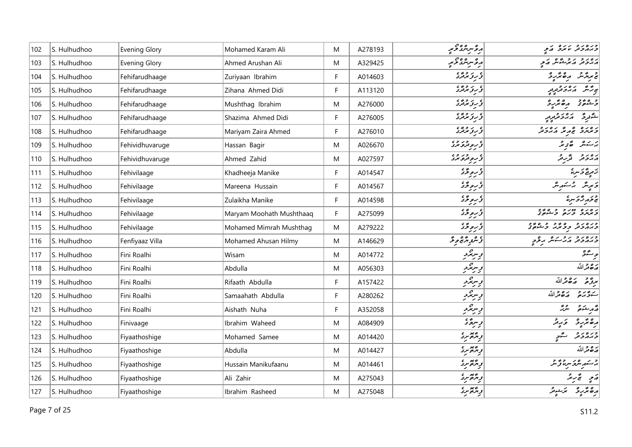| 102 | S. Hulhudhoo | <b>Evening Glory</b> | Mohamed Karam Ali        | M           | A278193 | <br>  مرغ سر بنزند محرسبه                    | ورەرو ررە پەر                                                             |
|-----|--------------|----------------------|--------------------------|-------------|---------|----------------------------------------------|---------------------------------------------------------------------------|
| 103 | S. Hulhudhoo | <b>Evening Glory</b> | Ahmed Arushan Ali        | M           | A329425 | <br>  برو سر سر محمد عم                      | رەر دەر دەر كەر                                                           |
| 104 | S. Hulhudhoo | Fehifarudhaage       | Zuriyaan Ibrahim         | F           | A014603 | <br>  ئۇس <sub>ۇ</sub> ئىرىترى               | في مريد من من من المريد و                                                 |
| 105 | S. Hulhudhoo | Fehifarudhaage       | Zihana Ahmed Didi        | F           | A113120 | د سر د سر تره                                | ى ئەشرىق مەمرى ئەرەر بىر<br>ئاسرىقى ئاسرىيە ئەسرىيەت                      |
| 106 | S. Hulhudhoo | Fehifarudhaage       | Mushthag Ibrahim         | M           | A276000 | ع به بر حرمزی<br>  قریبر مرفتری              | و ده در ده کرد و                                                          |
| 107 | S. Hulhudhoo | Fehifarudhaage       | Shazima Ahmed Didi       | F.          | A276005 | ئۇ سەر تەمەتىرى<br>  ئۈس <b>ىرى</b> تەمەتىرى | أشخورة أيره والمعرور والمستحدث                                            |
| 108 | S. Hulhudhoo | Fehifarudhaage       | Mariyam Zaira Ahmed      | F           | A276010 | ئۇرىر تەتەتى<br>                             |                                                                           |
| 109 | S. Hulhudhoo | Fehividhuvaruge      | Hassan Bagir             | M           | A026670 | نې روبرو ده<br>کررو ترو ترو                  | بر سەمىر ھۆيىر                                                            |
| 110 | S. Hulhudhoo | Fehividhuvaruge      | Ahmed Zahid              | M           | A027597 | ې په ور و،<br>گرېږمرو ترو                    | پرور پی پی                                                                |
| 111 | S. Hulhudhoo | Fehivilaage          | Khadheeja Manike         | F           | A014547 | ې ر <sub>ح قری</sub>                         | زَ مَرِيحٌ وَ سِرْءٌ                                                      |
| 112 | S. Hulhudhoo | Fehivilaage          | Mareena Hussain          | F           | A014567 | ې ر <sub>ح م</sub> وگړ<br>تر رح              | ۇ پرىتر كىرىسىر                                                           |
| 113 | S. Hulhudhoo | Fehivilaage          | Zulaikha Manike          | F           | A014598 | ۇروڭۇ                                        | چ ځه پر ژگو سربا<br>م                                                     |
| 114 | S. Hulhudhoo | Fehivilaage          | Maryam Moohath Mushthaaq | $\mathsf F$ | A275099 | ې روڅۍ<br>د روڅ                              | ر ٥ ر ٥ - ٥ - ٥ - ٥ - ٥ - ٥<br>تر <i>بر ٦ - ۶ - ۶ - ۶ - ۶ - ۶ - ۶ -</i> ۶ |
| 115 | S. Hulhudhoo | Fehivilaage          | Mohamed Mimrah Mushthag  | M           | A279222 | ې ر <sub>حو</sub> تو ته<br>د                 |                                                                           |
| 116 | S. Hulhudhoo | Fenfiyaaz Villa      | Mohamed Ahusan Hilmy     | M           | A146629 | ۇ ئىرى <sub>م</sub> ىر ئىزگىرىدۇ.            | ورەر د در دەكر برگور                                                      |
| 117 | S. Hulhudhoo | Fini Roalhi          | Wisam                    | M           | A014772 | وسرچرو                                       | عربستي                                                                    |
| 118 | S. Hulhudhoo | Fini Roalhi          | Abdulla                  | M           | A056303 | وسرچو                                        | برە تراللە                                                                |
| 119 | S. Hulhudhoo | Fini Roalhi          | Rifaath Abdulla          | F           | A157422 | وسرچمو                                       | بروته وكامرالله                                                           |
| 120 | S. Hulhudhoo | Fini Roalhi          | Samaahath Abdulla        | F           | A280262 | وسرچمو                                       | حويدة مكافرالله                                                           |
| 121 | S. Hulhudhoo | Fini Roalhi          | Aishath Nuha             | F           | A352058 | وسرچمو                                       | م شه د د د                                                                |
| 122 | S. Hulhudhoo | Finivaage            | Ibrahim Waheed           | M           | A084909 | وسرة کا                                      | ەرھ ئ <sup>ۆ</sup> ر ۋ<br>ءَ ٻريٽر                                        |
| 123 | S. Hulhudhoo | Fiyaathoshige        | Mohamed Samee            | M           | A014420 | و پر پر<br>تر پر پر پر                       | و ر ه ر د<br><i>و پر پر</i> وتر<br>مستثمو                                 |
| 124 | S. Hulhudhoo | Fiyaathoshige        | Abdulla                  | M           | A014427 | و پژ <sub>یخ مو</sub> لج<br>تر پژهو مولج     | برە ترالله                                                                |
| 125 | S. Hulhudhoo | Fiyaathoshige        | Hussain Manikufaanu      | M           | A014461 | و پر پر<br>پر مربح سر پر                     | ر<br>بەسەر بىرى ئىرىدۇ ئىر                                                |
| 126 | S. Hulhudhoo | Fiyaathoshige        | Ali Zahir                | M           | A275043 | و پر پر<br>پر مربح سر پر                     | أەسمجە ستى سرىتىلى                                                        |
| 127 | S. Hulhudhoo | Fiyaathoshige        | Ibrahim Rasheed          | M           | A275048 | و پژند<br>رگرهو مرد                          | رەپرىي كەشىھ                                                              |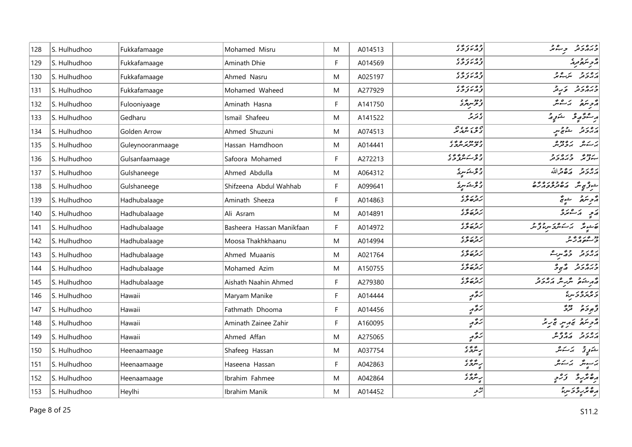| 128 | S. Hulhudhoo | Fukkafamaage     | Mohamed Misru             | M | A014513 | وه ر ر بر د<br><b>ز</b> ۱ <i>۸ د 5</i> د | وره دو ده و                                                 |
|-----|--------------|------------------|---------------------------|---|---------|------------------------------------------|-------------------------------------------------------------|
| 129 | S. Hulhudhoo | Fukkafamaage     | Aminath Dhie              | E | A014569 | و ە رىر پە ،<br>ۋەرىر تو ت               | ا مجمعه محمد محمد محمد<br>المجمع محمد محمد                  |
| 130 | S. Hulhudhoo | Fukkafamaage     | Ahmed Nasru               | M | A025197 | و ە رىر پە ،<br>ۋەرىر تو ت               | رەرد شهر                                                    |
| 131 | S. Hulhudhoo | Fukkafamaage     | Mohamed Waheed            | M | A277929 | وه ر ر بر د<br><b>ز</b> ۱ <i>۸ د 5</i> د | ورەر دىر د                                                  |
| 132 | S. Hulhudhoo | Fulooniyaage     | Aminath Hasna             | F | A141750 | د دو سره د ،<br>  د نو سره د             | ۇجەنىئە ئەسىگە                                              |
| 133 | S. Hulhudhoo | Gedharu          | Ismail Shafeeu            | M | A141522 | ے ر ح<br>ک تعریمہ                        | بر شۇن ئى ئىستىر ئى                                         |
| 134 | S. Hulhudhoo | Golden Arrow     | Ahmed Shuzuni             | M | A074513 | ہ ور ور ہ<br>دی سمدس                     | رەرد ھەتمىر                                                 |
| 135 | S. Hulhudhoo | Guleynooranmaage | Hassan Hamdhoon           | M | A014441 | و در و ده و د و<br>د موسرپرسرچر د        | يركبش برودوه                                                |
| 136 | S. Hulhudhoo | Gulsanfaamaage   | Safoora Mohamed           | F | A272213 | وه پره ووي                               | ردوره وره رو<br><i>سوفر بر ح</i> دمرونر                     |
| 137 | S. Hulhudhoo | Gulshaneege      | Ahmed Abdulla             | M | A064312 | د ټر شرمند پرتگ                          | برورد بره دالله                                             |
| 138 | S. Hulhudhoo | Gulshaneege      | Shifzeena Abdul Wahhab    | F | A099641 | د <sub>گر</sub> ے سر دی<br>              | شورې شر پره ده ده ده د<br>په شورې شر پره مرمو <i>و</i> رمره |
| 139 | S. Hulhudhoo | Hadhubalaage     | Aminath Sheeza            | F | A014863 | ر ور ر د<br>رکو <i>ن و</i> گ             | ومحر سنتوسخ والشيونج                                        |
| 140 | S. Hulhudhoo | Hadhubalaage     | Ali Asram                 | M | A014891 | ر ور د ،<br>رتر <i>ه تر</i> ت            | ړې پر ۱۳۶۵                                                  |
| 141 | S. Hulhudhoo | Hadhubalaage     | Basheera Hassan Manikfaan | F | A014972 | ر ور پر ،<br>رتر <i>ه نو</i> ر           | ەھرىر كەسكىرى بىر ئۇ ئىر                                    |
| 142 | S. Hulhudhoo | Hadhubalaage     | Moosa Thakhkhaanu         | M | A014994 | ر ور پر ،<br>رتر <i>ه نو</i> ت           | دد ۱۵۷۶ و.<br>د سومرنر س                                    |
| 143 | S. Hulhudhoo | Hadhubalaage     | Ahmed Muaanis             | M | A021764 | ر و ر » ،<br>رتره تر ت                   | גפגב ברית                                                   |
| 144 | S. Hulhudhoo | Hadhubalaage     | Mohamed Azim              | M | A150755 | ر ور پر ،<br>رتر <i>ه نو</i> ر           | כנסנ כ"ב                                                    |
| 145 | S. Hulhudhoo | Hadhubalaage     | Aishath Naahin Ahmed      | F | A279380 | ر و ر د ،<br>رتر <i>ه و د</i>            | وحمر يحكموا المستحصر والمرادح فللمر                         |
| 146 | S. Hulhudhoo | Hawaii           | Maryam Manike             | F | A014444 | رځورپه                                   | ر ہ ر ہ ر<br>3 بربر3 تریکا                                  |
| 147 | S. Hulhudhoo | Hawaii           | Fathmath Dhooma           | F | A014456 | ر څ په                                   | و ده دوه<br>و دره                                           |
| 148 | S. Hulhudhoo | Hawaii           | Aminath Zainee Zahir      | F | A160095 | رءپر                                     | أوسكم بمرسم بمركز                                           |
| 149 | S. Hulhudhoo | Hawaii           | Ahmed Affan               | M | A275065 | رَءٌ م                                   | גפגל גם שם                                                  |
| 150 | S. Hulhudhoo | Heenaamaage      | Shafeeg Hassan            | M | A037754 | ر پڙھ<br>پي                              | لمكوني - يركبش                                              |
| 151 | S. Hulhudhoo | Heenaamaage      | Haseena Hassan            | F | A042863 | ر پېژونه<br>په مترد د                    | يرسيس يرسكس                                                 |
| 152 | S. Hulhudhoo | Heenaamaage      | Ibrahim Fahmee            | M | A042864 | ر پژوند<br>په                            | ەر ھەترىر <i>ۋ</i><br>ۇ ژەپ                                 |
| 153 | S. Hulhudhoo | Heylhi           | Ibrahim Manik             | M | A014452 | امئے<br>سے م                             | ە ھەئرىر 25 س <sup>رى</sup> ر                               |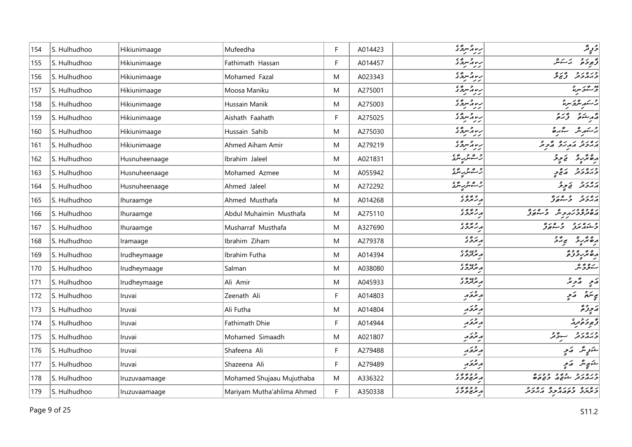| 154 | S. Hulhudhoo | Hikiunimaage  | Mufeedha                   | F  | A014423 | ر رو ژوئر دی<br>مرد شهرد دی         | حروتر                                         |
|-----|--------------|---------------|----------------------------|----|---------|-------------------------------------|-----------------------------------------------|
| 155 | S. Hulhudhoo | Hikiunimaage  | Fathimath Hassan           | F  | A014457 | ر بىر ە ئىبرى <sup>تى</sup> ي       | ۇ بۇرۇ بەسكىل                                 |
| 156 | S. Hulhudhoo | Hikiunimaage  | Mohamed Fazal              | M  | A023343 | رىرە ئىبر <u>ە</u> ئ                | ورەر د درە                                    |
| 157 | S. Hulhudhoo | Hikiunimaage  | Moosa Maniku               | M  | A275001 | ىر بىر قەرىپى<br>ئەرگە بىرىپى       | دو پر در د<br>تر سگه سربر                     |
| 158 | S. Hulhudhoo | Hikiunimaage  | Hussain Manik              | M  | A275003 | رىدە ئىرى <i>دى</i><br>ئەر          | جر سنهر مركز سررة                             |
| 159 | S. Hulhudhoo | Hikiunimaage  | Aishath Faahath            | F  | A275025 | ر بى <sub>ر</sub> مەشرىچە ئە        |                                               |
| 160 | S. Hulhudhoo | Hikiunimaage  | Hussain Sahib              | M  | A275030 | ر بو د شرچ د<br>بر                  | برسكر شركت ستكرة                              |
| 161 | S. Hulhudhoo | Hikiunimaage  | Ahmed Aiham Amir           | M  | A279219 | رىدە ئىرى <i>دى</i><br>ئەر          | גפגב ג'קביב בבביב                             |
| 162 | S. Hulhudhoo | Husnuheenaage | Ibrahim Jaleel             | M  | A021831 | 2 مەش <sub>رىپ</sub> ىرىگە ئە       | رە ئەر ئىچە                                   |
| 163 | S. Hulhudhoo | Husnuheenaage | Mohamed Azmee              | M  | A055942 | ر مەش <sub>رىپ</sub> ىدىكى<br>مەسىر | כנסנכ נס                                      |
| 164 | S. Hulhudhoo | Husnuheenaage | Ahmed Jaleel               | M  | A272292 | ر مەش <sub>رىپ</sub> ىدى<br>مەسرىپە | دەر دەن تەر                                   |
| 165 | S. Hulhudhoo | Ihuraamge     | Ahmed Musthafa             | M  | A014268 | د ر <sup>و ه ه</sup> ۹              | ره د و وره<br>مدرس و ب                        |
| 166 | S. Hulhudhoo | Ihuraamge     | Abdul Muhaimin Musthafa    | M  | A275110 | د رحمه د ه ،<br>د رنگرو د           | د په ديږ<br>ן פרפר בין בית<br>גם בקיב בין בית |
| 167 | S. Hulhudhoo | Ihuraamge     | Musharraf Musthafa         | M  | A327690 | لرژنؤوء                             | و ره دو و دره<br>و شهر مرو و سبوو             |
| 168 | S. Hulhudhoo | Iramaage      | Ibrahim Ziham              | M  | A279378 | د بود و<br>د بور و                  | رە ئۆر ئەنە                                   |
| 169 | S. Hulhudhoo | Irudheymaage  | Ibrahim Futha              | M  | A014394 | و دره بو د<br>در جولتور و           | ە ھەمرىر <i>230</i><br>رەھ ئىرىر تىرى         |
| 170 | S. Hulhudhoo | Irudheymaage  | Salman                     | M  | A038080 | و ده و د د<br>در موتور و            | رە بە ھ                                       |
| 171 | S. Hulhudhoo | Irudheymaage  | Ali Amir                   | M  | A045933 | د وړ، د ،<br>د برنرد د              | $\frac{2}{3}$ $\frac{5}{3}$                   |
| 172 | S. Hulhudhoo | Iruvai        | Zeenath Ali                | F  | A014803 | وبخرقه                              | ېپېژو<br>ەتىر                                 |
| 173 | S. Hulhudhoo | Iruvai        | Ali Futha                  | M  | A014804 | مرتزعهر                             | ەَجِرْدْءٌ                                    |
| 174 | S. Hulhudhoo | Iruvai        | Fathimath Dhie             | F. | A014944 | وبخرعه                              | و گهو ځه کوروگر                               |
| 175 | S. Hulhudhoo | Iruvai        | Mohamed Simaadh            | M  | A021807 | وبخرعه                              | כנסנב הבב                                     |
| 176 | S. Hulhudhoo | Iruvai        | Shafeena Ali               | F  | A279488 | مرتزعهر                             | خنوبتر الأمج                                  |
| 177 | S. Hulhudhoo | Iruvai        | Shazeena Ali               | F  | A279489 | ارجمع                               | شوپر کرم                                      |
| 178 | S. Hulhudhoo | Iruzuvaamaage | Mohamed Shujaau Mujuthaba  | M  | A336322 | د و و د د د<br>د مربع څ و د         | 2000 - 242 2009<br>2000 - 2430 2540           |
| 179 | S. Hulhudhoo | Iruzuvaamaage | Mariyam Mutha'ahlima Ahmed | F  | A350338 | د و و د د و<br>د مربع څرنو ک        | ג סגם כגגם ש גםגב<br>כמתר כפגת כל הגבת        |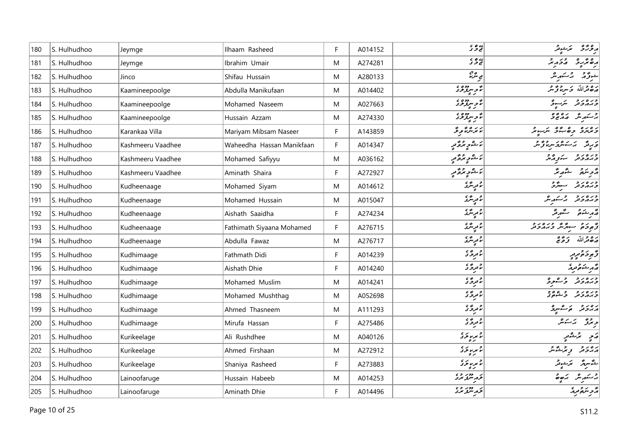| 180 | S. Hulhudhoo | Jeymge            | Ilhaam Rasheed            | F           | A014152 | ء ہ ہ<br>  قع بر تر                                                                                     | روژو تر <sub>شوتر</sub><br>م                  |
|-----|--------------|-------------------|---------------------------|-------------|---------|---------------------------------------------------------------------------------------------------------|-----------------------------------------------|
| 181 | S. Hulhudhoo | Jeymge            | Ibrahim Umair             | M           | A274281 | ړے و بح<br>مخ <b>ر</b> حر                                                                               | תפתיב הכתת                                    |
| 182 | S. Hulhudhoo | Jinco             | Shifau Hussain            | M           | A280133 | ەم<br>موسر                                                                                              | أحوقه بركتهريش                                |
| 183 | S. Hulhudhoo | Kaamineepoolge    | Abdulla Manikufaan        | M           | A014402 | ځ د سروه <sup>ی</sup>                                                                                   | مَدْهُ مَّدَاللَّهُ حَسِبْہُ وَّسْرَ          |
| 184 | S. Hulhudhoo | Kaamineepoolge    | Mohamed Naseem            | M           | A027663 | نځ وروه وه<br>لنگه وسرونونه                                                                             | כנסגב ת-פ                                     |
| 185 | S. Hulhudhoo | Kaamineepoolge    | Hussain Azzam             | M           | A274330 | ء ڪي پيوٽو ۽<br>ماح سرو پيوٽو پ                                                                         |                                               |
| 186 | S. Hulhudhoo | Karankaa Villa    | Mariyam Mibsam Naseer     | F           | A143859 | مەندىئە ئەقر                                                                                            | י פינוב כסייבר יצייבי                         |
| 187 | S. Hulhudhoo | Kashmeeru Vaadhee | Waheedha Hassan Manikfaan | F           | A014347 | ئەشقىر ترەڭ تېر                                                                                         | ەر ئەسكە ئەسكەن ئەر ئەر                       |
| 188 | S. Hulhudhoo | Kashmeeru Vaadhee | Mohamed Safiyyu           | M           | A036162 | ئەشقىر بىرەڭ بېر                                                                                        | כממכני הנקמת                                  |
| 189 | S. Hulhudhoo | Kashmeeru Vaadhee | Aminath Shaira            | F           | A272927 | ر<br>سن الله عن الله من الله من الله من الله الله من الله من الله من الله من الله من الله من الله من ال | أرتجه ستقصقه                                  |
| 190 | S. Hulhudhoo | Kudheenaage       | Mohamed Siyam             | M           | A014612 | د<br>موسر متر پ                                                                                         |                                               |
| 191 | S. Hulhudhoo | Kudheenaage       | Mohamed Hussain           | M           | A015047 | د موسرچ<br>  ما موسرچ                                                                                   | ورەرو ورىدىگ                                  |
| 192 | S. Hulhudhoo | Kudheenaage       | Aishath Saaidha           | $\mathsf F$ | A274234 | د موس <sup>تو پ</sup> ه                                                                                 | مەرشكى سەرقە                                  |
| 193 | S. Hulhudhoo | Kudheenaage       | Fathimath Siyaana Mohamed | F           | A276715 | د<br>موسر متر پ                                                                                         | و د د په دره د د ور                           |
| 194 | S. Hulhudhoo | Kudheenaage       | Abdulla Fawaz             | M           | A276717 | د ورېترنگه<br>په پېښېد                                                                                  | برة والله وغرم                                |
| 195 | S. Hulhudhoo | Kudhimaage        | Fathmath Didi             | F           | A014239 | و دی<br>مورو د                                                                                          | ر<br>گ <sub>ې</sub> د کمونږې                  |
| 196 | S. Hulhudhoo | Kudhimaage        | Aishath Dhie              | F           | A014240 | و د پرې<br>ما مورگ                                                                                      | و<br>وگهر شوه وردگر                           |
| 197 | S. Hulhudhoo | Kudhimaage        | Mohamed Muslim            | M           | A014241 | د و »<br>ما تورد د                                                                                      | ورەرو وصور                                    |
| 198 | S. Hulhudhoo | Kudhimaage        | Mohamed Mushthag          | M           | A052698 | د دره و<br>ما تورد د                                                                                    | وره رو و وه و<br><i>وبرو تر</i> شو <i>م</i> و |
| 199 | S. Hulhudhoo | Kudhimaage        | Ahmed Thasneem            | M           | A111293 | د ورځ<br>مورگو                                                                                          | גפנק הפיתוב                                   |
| 200 | S. Hulhudhoo | Kudhimaage        | Mirufa Hassan             | F           | A275486 | د وره و<br>ما تورد د                                                                                    | دىدۇ ئەسەھ                                    |
| 201 | S. Hulhudhoo | Kurikeelage       | Ali Rushdhee              | M           | A040126 | د<br>با مربو مړي                                                                                        | ر<br>مرد برشور                                |
| 202 | S. Hulhudhoo | Kurikeelage       | Ahmed Firshaan            | M           | A272912 | د بر بر بر بر<br>مربر بر بر بر                                                                          | رەرد <sub>و برخ</sub> م                       |
| 203 | S. Hulhudhoo | Kurikeelage       | Shaniya Rasheed           | F           | A273883 | د<br>ماسر پیوندی<br>سرپه                                                                                | شگس کرشونر                                    |
| 204 | S. Hulhudhoo | Lainoofaruge      | Hussain Habeeb            | M           | A014253 | ىر دور د ،<br>خەرسىمى مىرى                                                                              |                                               |
| 205 | S. Hulhudhoo | Lainoofaruge      | Aminath Dhie              | F           | A014496 | ىخ مەشترى ئىرى<br>مەسترىم ئىرى                                                                          | أأرو يتمونه                                   |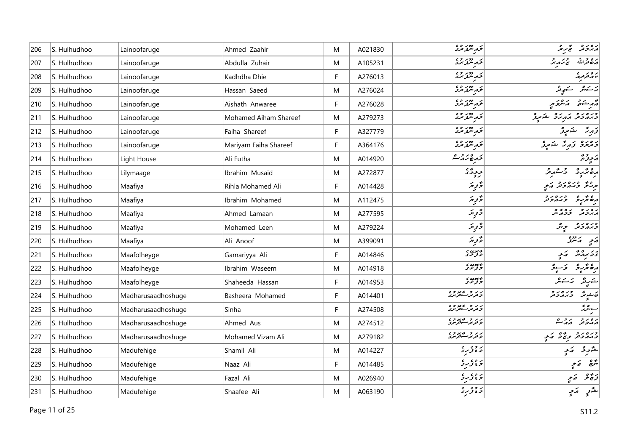| 206 | S. Hulhudhoo | Lainoofaruge       | Ahmed Zaahir          | M  | A021830 | خەر يېزىر چ                          | أرور و مجر بر                            |
|-----|--------------|--------------------|-----------------------|----|---------|--------------------------------------|------------------------------------------|
| 207 | S. Hulhudhoo | Lainoofaruge       | Abdulla Zuhair        | M  | A105231 | ىر دور د ،<br>خەرسى تىرى             | پر <b>ص</b> حرالله<br>ى ئەمەتتىر         |
| 208 | S. Hulhudhoo | Lainoofaruge       | Kadhdha Dhie          | F  | A276013 | ىر دور د ،<br>خەرسىمگە ئىرى          | ر ه ر<br>مار ترتورگر                     |
| 209 | S. Hulhudhoo | Lainoofaruge       | Hassan Saeed          | M  | A276024 | ځه په تنګر تر د                      | ر<br>رئەسىر سىمبەر                       |
| 210 | S. Hulhudhoo | Lainoofaruge       | Aishath Anwaree       | F  | A276028 | <del>كە</del> ر يېزىرىي              | ۇرىشكى مەمكەس                            |
| 211 | S. Hulhudhoo | Lainoofaruge       | Mohamed Aiham Shareef | M  | A279273 | ىز مەنتىر بىرى<br>خىرىشتىر ئىرى      | כנסנב הגוב בתק                           |
| 212 | S. Hulhudhoo | Lainoofaruge       | Faiha Shareef         | F  | A327779 | ىر دور د ،<br>خەرسىمەتىر             | وَرِيدٌ ڪَمِرِوْ                         |
| 213 | S. Hulhudhoo | Lainoofaruge       | Mariyam Faiha Shareef | F  | A364176 | ىز مەنزىر دې                         | ويرتزو ورثر خيرو                         |
| 214 | S. Hulhudhoo | Light House        | Ali Futha             | M  | A014920 | خەرقە ئەرمى                          | ە بەردە                                  |
| 215 | S. Hulhudhoo | Lilymaage          | Ibrahim Musaid        | M  | A272877 | و و دی<br>ری                         |                                          |
| 216 | S. Hulhudhoo | Maafiya            | Rihla Mohamed Ali     | F. | A014428 | ۇ <sub>پور</sub> ىز                  | بررو ورود و د                            |
| 217 | S. Hulhudhoo | Maafiya            | Ibrahim Mohamed       | M  | A112475 | ۇ <sub>پور</sub> ىز                  | و ره ر د<br>ر پر رقر<br>ەرھەتمەر 2<br>ب  |
| 218 | S. Hulhudhoo | Maafiya            | Ahmed Lamaan          | M  | A277595 | د و آر<br>م                          | رەروكرە ئەھ                              |
| 219 | S. Hulhudhoo | Maafiya            | Mohamed Leen          | M  | A279224 | ۇ پەر<br>م                           | ورەرو پەر                                |
| 220 | S. Hulhudhoo | Maafiya            | Ali Anoof             | M  | A399091 | ۇ پەر<br>م                           | أەسم بالملا                              |
| 221 | S. Hulhudhoo | Maafolheyge        | Gamariyya Ali         | F  | A014846 | ەيدى ،<br>تركرىر                     |                                          |
| 222 | S. Hulhudhoo | Maafolheyge        | Ibrahim Waseem        | M  | A014918 | ه بودن تا<br>تر تو لو ی              | رەپزېرە<br>ځ سوچ                         |
| 223 | S. Hulhudhoo | Maafolheyge        | Shaheeda Hassan       | F  | A014953 | ه بودن تا<br>تر تو لو ی              | ے<br>خوبے م<br>برَسَهْر                  |
| 224 | S. Hulhudhoo | Madharusaadhoshuge | Basheera Mohamed      | F  | A014401 | ر ر و به پر و ،<br>و تدبر سگورمرد    | و ر ه ر و<br><i>و پر</i> و تر<br>ەھسىتىر |
| 225 | S. Hulhudhoo | Madharusaadhoshuge | Sinha                 | F  | A274508 | ر ر و به پو و ،<br>و تریمرسگوترمرد   | سومثر                                    |
| 226 | S. Hulhudhoo | Madharusaadhoshuge | Ahmed Aus             | M  | A274512 | ر ر و بر و د و د<br>و تعریف شور سر و | برەرو بروغ                               |
| 227 | S. Hulhudhoo | Madharusaadhoshuge | Mohamed Vizam Ali     | M  | A279182 | ر ر و بر برو د ،<br>وتریز سگوتر تر پ | ورەرو وڭ كەي                             |
| 228 | S. Hulhudhoo | Madufehige         | Shamil Ali            | M  | A014227 | ىر دې<br>خ <b>ې</b> ئوگرى            | لمشوقى أتأمي                             |
| 229 | S. Hulhudhoo | Madufehige         | Naaz Ali              | F  | A014485 | ىر جۇ ئ <sub>ە</sub> رى              | سرچ<br>ەكىپىيە                           |
| 230 | S. Hulhudhoo | Madufehige         | Fazal Ali             | M  | A026940 | [ر و ،<br> د ، نور به                | تر پچ ب <u>ح</u><br>ەئىر                 |
| 231 | S. Hulhudhoo | Madufehige         | Shaafee Ali           | M  | A063190 | 5 ۽ قرسر ۽                           | لمشمي الكامج                             |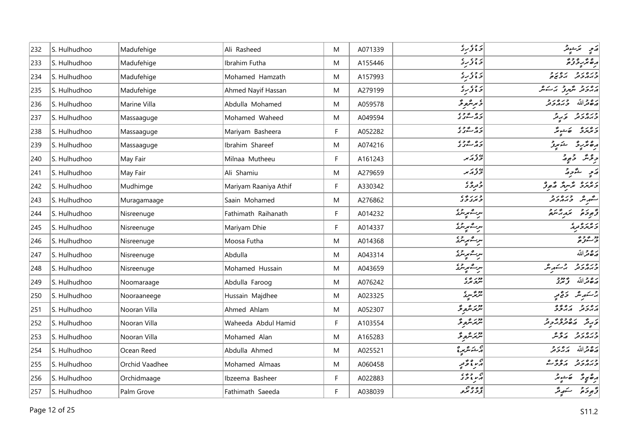| 232 | S. Hulhudhoo | Madufehige     | Ali Rasheed           | ${\sf M}$ | A071339 | ر د ی<br>  <del>د</del> ډ نو ر د  | ر<br>ماسي الماسي المحمد                 |
|-----|--------------|----------------|-----------------------|-----------|---------|-----------------------------------|-----------------------------------------|
| 233 | S. Hulhudhoo | Madufehige     | Ibrahim Futha         | ${\sf M}$ | A155446 | ىر جۇ ئ <sub>ە</sub> رى           |                                         |
| 234 | S. Hulhudhoo | Madufehige     | Mohamed Hamzath       | M         | A157993 | 5 ۽ قرسر ته                       | 21012 21012                             |
| 235 | S. Hulhudhoo | Madufehige     | Ahmed Nayif Hassan    | M         | A279199 | د دې پ                            | גפצי תיקי גבות                          |
| 236 | S. Hulhudhoo | Marine Villa   | Abdulla Mohamed       | M         | A059578 | ۇبرىئرو ۋ                         | رە داللە دىرە دو                        |
| 237 | S. Hulhudhoo | Massaaguge     | Mohamed Waheed        | M         | A049594 | ره په دې<br>د د سندې              | ورەر دىر د                              |
| 238 | S. Hulhudhoo | Massaaguge     | Mariyam Basheera      | F         | A052282 | ر ه په د ،<br><del>ر</del> ۸ سگړۍ | رەرە كەشەگە                             |
| 239 | S. Hulhudhoo | Massaaguge     | Ibrahim Shareef       | ${\sf M}$ | A074216 | ر ه په د ،<br><del>د</del> ۶ ک    | رەترىر ئىير                             |
| 240 | S. Hulhudhoo | May Fair       | Milnaa Mutheeu        | F         | A161243 | ر، ، ر<br>تر تو پر سر             | اروژنٹر<br>و<br>حبوم                    |
| 241 | S. Hulhudhoo | May Fair       | Ali Shamiu            | M         | A279659 | ر، ، ر<br>تر تو هر سر             | أرزموا المشرورة                         |
| 242 | S. Hulhudhoo | Mudhimge       | Mariyam Raaniya Athif | F         | A330342 | و مرد ء<br>د مرد د                | د وړه پر سر کړو و                       |
| 243 | S. Hulhudhoo | Muragamaage    | Saain Mohamed         | ${\sf M}$ | A276862 | و ر ر » »<br>تر بور و ی           | و ره ر و<br><i>د ب</i> رگرفر<br>سەمەتىر |
| 244 | S. Hulhudhoo | Nisreenuge     | Fathimath Raihanath   | F         | A014232 | ڛڔڡؠؠڔ؊ػ                          |                                         |
| 245 | S. Hulhudhoo | Nisreenuge     | Mariyam Dhie          | F         | A014337 | ڛٮۣڡؠؠۺػ                          | ر ه ر ه مر                              |
| 246 | S. Hulhudhoo | Nisreenuge     | Moosa Futha           | M         | A014368 | ڛٮۣڡؠؠۺػ                          | دد پر دید                               |
| 247 | S. Hulhudhoo | Nisreenuge     | Abdulla               | M         | A043314 | سرىشىمەتتىگە                      | برە تراللە                              |
| 248 | S. Hulhudhoo | Nisreenuge     | Mohamed Hussain       | M         | A043659 | سرىشىمە يە <i>رىگى</i><br>س       | ورەرو ورىدىر                            |
| 249 | S. Hulhudhoo | Noomaraage     | Abdulla Faroog        | M         | A076242 | دور پر پر<br>سرچ بوی              | يَدْهُ قَدْ اللّهُ وَتَوَقَّعُهُ وَ     |
| 250 | S. Hulhudhoo | Nooraaneege    | Hussain Majdhee       | M         | A023325 | ترپژسر،                           | 2 سەر شەھ ئ <sup>ى</sup> ئە             |
| 251 | S. Hulhudhoo | Nooran Villa   | Ahmed Ahlam           | M         | A052307 | در ره هر گ <sup>ی</sup>           | גם גם גם 2014<br>הגבת הג <del>ל</del> כ |
| 252 | S. Hulhudhoo | Nooran Villa   | Waheeda Abdul Hamid   | F         | A103554 | يزبر عرعر محر                     | ) در ده ده و د                          |
| 253 | S. Hulhudhoo | Nooran Villa   | Mohamed Alan          | ${\sf M}$ | A165283 | ترىرى <i>موڭر</i>                 | ورەر دۇر.                               |
| 254 | S. Hulhudhoo | Ocean Reed     | Abdulla Ahmed         | ${\sf M}$ | A025521 | پر <u>شریر مربع</u><br>           | برە تراللە<br>پروژو                     |
| 255 | S. Hulhudhoo | Orchid Vaadhee | Mohamed Almaas        | ${\sf M}$ | A060458 | ەر بەر ئەھمەر<br>مەسىم ئەھمەر     | ورەرو رەپرە                             |
| 256 | S. Hulhudhoo | Orchidmaage    | Ibzeema Basheer       | F         | A022883 |                                   |                                         |
| 257 | S. Hulhudhoo | Palm Grove     | Fathimath Saeeda      | F         | A038039 | وه ه ه م.<br>ترد د نرو            | توجوخا ستهيتر                           |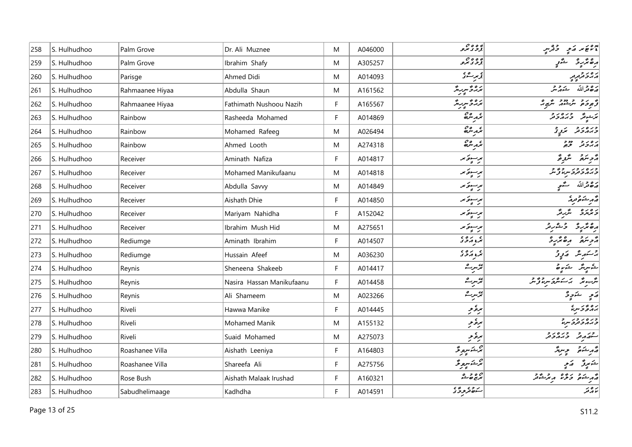| 258 | S. Hulhudhoo | Palm Grove      | Dr. Ali Muznee            | M  | A046000 | وه ه ه<br>  د و و سرو                      | $\left\{ \begin{array}{ll} \mathcal{E}_{\mathcal{E}} & \mathcal{E}_{\mathcal{E}} & \mathcal{E}_{\mathcal{E}} \ \mathcal{E}_{\mathcal{E}} & \mathcal{E}_{\mathcal{E}} & \mathcal{E}_{\mathcal{E}} \end{array} \right\}$ |
|-----|--------------|-----------------|---------------------------|----|---------|--------------------------------------------|------------------------------------------------------------------------------------------------------------------------------------------------------------------------------------------------------------------------|
| 259 | S. Hulhudhoo | Palm Grove      | Ibrahim Shafy             | M  | A305257 | ږه ه <i>۵ م</i><br>د <i>و د</i> سرو        | ه <i>۶ برگر</i><br>۱ <i>۸ هن</i> گر دیگر<br>۱۸ بر د د تروی <sub>ر</sub> ین                                                                                                                                             |
| 260 | S. Hulhudhoo | Parisge         | Ahmed Didi                | M  | A014093 | ئۇ بىر سەم<br>                             |                                                                                                                                                                                                                        |
| 261 | S. Hulhudhoo | Rahmaanee Hiyaa | Abdulla Shaun             | M  | A161562 | ىر 2 بى سرىر بىر<br>ئىرىر كى س             | مَدَّة مَّرَ اللَّهُ شَوَمَ مَرَّ                                                                                                                                                                                      |
| 262 | S. Hulhudhoo | Rahmaanee Hiyaa | Fathimath Nushoou Nazih   | F  | A165567 | ىر 2 گەسىر بەر<br>مەركە                    | ژُودَه ششه شهر                                                                                                                                                                                                         |
| 263 | S. Hulhudhoo | Rainbow         | Rasheeda Mohamed          | F  | A014869 | بزرجي                                      | برحوش وبرە رو                                                                                                                                                                                                          |
| 264 | S. Hulhudhoo | Rainbow         | Mohamed Rafeeg            | M  | A026494 | ء<br>بڑו, سرچ                              | ورەرو كرړو                                                                                                                                                                                                             |
| 265 | S. Hulhudhoo | Rainbow         | Ahmed Looth               | M  | A274318 | ء<br>بڑו سرچ                               | ره رو دوو<br> درگرفتر محده                                                                                                                                                                                             |
| 266 | S. Hulhudhoo | Receiver        | Aminath Nafiza            | F  | A014817 | ابرسود پر<br><u>ب ب</u> ے                  | أأرجع متكريم                                                                                                                                                                                                           |
| 267 | S. Hulhudhoo | Receiver        | Mohamed Manikufaanu       | M  | A014818 | ايرسونه<br><u>مس</u> يح                    | ورە رور سردو بر<br>دېرمرح ترتر سردو تر س                                                                                                                                                                               |
| 268 | S. Hulhudhoo | Receiver        | Abdulla Savvy             | M  | A014849 | ابر سور بر<br><u>ے ب</u> ح                 | برة قرالله گويه                                                                                                                                                                                                        |
| 269 | S. Hulhudhoo | Receiver        | Aishath Dhie              | F  | A014850 | ا بورسود کر<br><u>مرس</u> ح مو             | د مر شوه دره<br>م                                                                                                                                                                                                      |
| 270 | S. Hulhudhoo | Receiver        | Mariyam Nahidha           | F  | A152042 | ا مدرسہ تھ مد<br><u>مد</u> یح              | و وره شرقه                                                                                                                                                                                                             |
| 271 | S. Hulhudhoo | Receiver        | Ibrahim Mush Hid          | M  | A275651 | موسوح مر<br>  <u>مرس</u> ح مر              | وەترىرو دىشرىر                                                                                                                                                                                                         |
| 272 | S. Hulhudhoo | Rediumge        | Aminath Ibrahim           | F  | A014507 | $\frac{1}{2}$                              |                                                                                                                                                                                                                        |
| 273 | S. Hulhudhoo | Rediumge        | Hussain Afeef             | M  | A036230 |                                            |                                                                                                                                                                                                                        |
| 274 | S. Hulhudhoo | Reynis          | Sheneena Shakeeb          | F  | A014417 | ئۇسرىشە                                    |                                                                                                                                                                                                                        |
| 275 | S. Hulhudhoo | Reynis          | Nasira Hassan Manikufaanu | F  | A014458 | ئىز بىر م<br>ئىر                           | ے میریٹر خوری<br>خوریٹر خوری<br>شریبوش پر کا مشرکت میں لوگور                                                                                                                                                           |
| 276 | S. Hulhudhoo | Reynis          | Ali Shameem               | M  | A023266 | ئۇسرىقە                                    | أركمج التكوير والمحمد                                                                                                                                                                                                  |
| 277 | S. Hulhudhoo | Riveli          | Hawwa Manike              | F  | A014445 | برۂعر                                      | رە پەر ي<br>بەھرى س                                                                                                                                                                                                    |
| 278 | S. Hulhudhoo | Riveli          | <b>Mohamed Manik</b>      | M  | A155132 | برة و                                      | כנסק בקב <sub>וע</sub>                                                                                                                                                                                                 |
| 279 | S. Hulhudhoo | Riveli          | Suaid Mohamed             | M  | A275073 | برة و                                      | 31013 312                                                                                                                                                                                                              |
| 280 | S. Hulhudhoo | Roashanee Villa | Aishath Leeniya           | F  | A164803 | حرشة <sub>سرعر</sub> محر<br>مصر <u>ي</u> ح |                                                                                                                                                                                                                        |
| 281 | S. Hulhudhoo | Roashanee Villa | Shareefa Ali              | F  | A275756 | ترىشەسرە ق                                 | لتكبروه أمكم                                                                                                                                                                                                           |
| 282 | S. Hulhudhoo | Rose Bush       | Aishath Malaak Irushad    | F  | A160321 | ە ە جەمئە<br>مرىخ ھەشە                     | د در د دره د د و د و<br>مگر شوه و و لا بر برشون                                                                                                                                                                        |
| 283 | S. Hulhudhoo | Sabudhelimaage  | Kadhdha                   | F. | A014591 | ر ده تر د پ                                | ر ە بر                                                                                                                                                                                                                 |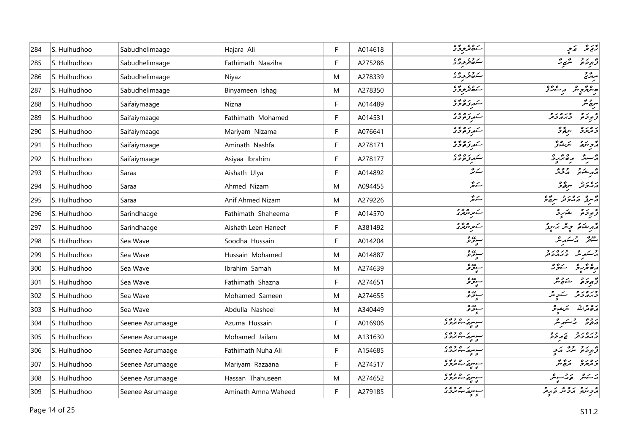| 284 | S. Hulhudhoo | Sabudhelimaage   | Hajara Ali          | F         | A014618 | ر ده تر پر ژ                            | ا تریخ تر<br>  تریخ<br>ەتىر                                                                          |
|-----|--------------|------------------|---------------------|-----------|---------|-----------------------------------------|------------------------------------------------------------------------------------------------------|
| 285 | S. Hulhudhoo | Sabudhelimaage   | Fathimath Naaziha   | F         | A275286 | ر ده د د و <sup>د</sup>                 | و مردم<br>ترجو څخه<br>ىتى ئە                                                                         |
| 286 | S. Hulhudhoo | Sabudhelimaage   | Nivaz               | M         | A278339 | ر ده تر پر په<br>سا <i>ه</i> تر پر پ    | $\frac{1}{2}$                                                                                        |
| 287 | S. Hulhudhoo | Sabudhelimaage   | Binyameen Ishaq     | M         | A278350 | ر ده د و ،<br>سان ترو و د               | ە ئىرگە ئىس مەدەبىيە<br>ئارگىرىش مەسىر                                                               |
| 288 | S. Hulhudhoo | Saifaiymaage     | Nizna               | F         | A014489 | ر در ده و د ،<br>سکهرنو هر د            | سرچېگر                                                                                               |
| 289 | S. Hulhudhoo | Saifaiymaage     | Fathimath Mohamed   | F.        | A014531 | ر مرد کرد و د و                         | و مر د<br>تر موح <sup>م</sup><br>و ر ه ر و<br><i>د ب</i> رگرفر                                       |
| 290 | S. Hulhudhoo | Saifaiymaage     | Mariyam Nizama      | F         | A076641 | سەر ۋە دې                               | ر ه ر ه<br>تر <del>ب</del> ر بر<br>سرة و                                                             |
| 291 | S. Hulhudhoo | Saifaiymaage     | Aminath Nashfa      | F         | A278171 | ر دره وي<br>سورتو د د                   | ۇ <sub>چە تىك</sub> ى ئىر ئىشى ئە                                                                    |
| 292 | S. Hulhudhoo | Saifaiymaage     | Asiyaa Ibrahim      | F         | A278177 | ر دره و د ،<br>سورتو د د د              | پر<br>مرس<br>ەھ ئۈر ۋ                                                                                |
| 293 | S. Hulhudhoo | Saraa            | Aishath Ulya        | F.        | A014892 | سەپىر                                   | و ده ده ده.<br>در شهو مرح                                                                            |
| 294 | S. Hulhudhoo | Saraa            | Ahmed Nizam         | M         | A094455 | سەپتە                                   | رەر دەر پە                                                                                           |
| 295 | S. Hulhudhoo | Saraa            | Anif Ahmed Nizam    | M         | A279226 | سەپىر                                   |                                                                                                      |
| 296 | S. Hulhudhoo | Sarindhaage      | Fathimath Shaheema  | F         | A014570 | سە ئىر بىر تەرىخ<br>سە ئىر بىر تەرىخ    | وٌ و دَمَ شَرِ وُ                                                                                    |
| 297 | S. Hulhudhoo | Sarindhaage      | Aishath Leen Haneef | F         | A381492 | سە ئىر بىر تەرىجە<br>مەمر               | ۇرمۇق بېر ئېر                                                                                        |
| 298 | S. Hulhudhoo | Sea Wave         | Soodha Hussain      | F         | A014204 | ے بھ<br>سوھ                             | دوره به شوړ شو.<br>سوفر به سوړ شو                                                                    |
| 299 | S. Hulhudhoo | Sea Wave         | Hussain Mohamed     | ${\sf M}$ | A014887 | ے بھ<br>سوحر                            | وكرمر ورورو                                                                                          |
| 300 | S. Hulhudhoo | Sea Wave         | Ibrahim Samah       | M         | A274639 | ے پی ہ<br>پ                             | رە ئەر ئىنى                                                                                          |
| 301 | S. Hulhudhoo | Sea Wave         | Fathimath Shazna    | F         | A274651 | رەە<br>سوھ                              | تو پر ده شوی ش                                                                                       |
| 302 | S. Hulhudhoo | Sea Wave         | Mohamed Sameen      | M         | A274655 | سوبى ھ<br>پ                             | ورەرو كەچ                                                                                            |
| 303 | S. Hulhudhoo | Sea Wave         | Abdulla Nasheel     | M         | A340449 | ے بھ<br>پیوٹو                           | پرځ قرالله سرسونځه                                                                                   |
| 304 | S. Hulhudhoo | Seenee Asrumaage | Azuma Hussain       | F         | A016906 | سوسري د و د د )<br>د و بسري سو بحر تر ک | روو رئيس                                                                                             |
| 305 | S. Hulhudhoo | Seenee Asrumaage | Mohamed Jailam      | M         | A131630 | سوسره شهر د د ه<br>نو په مشهر د د       | כממכנג בתוכל                                                                                         |
| 306 | S. Hulhudhoo | Seenee Asrumaage | Fathimath Nuha Ali  | F         | A154685 | سوسره شوروی<br><u>خ</u> وند شوروی       | و محركة و المحمد المحمد المحمد المحمد المحمد المحمد المحمد المحمد المحمد المحمد المحمد المحمد المحمد |
| 307 | S. Hulhudhoo | Seenee Asrumaage | Mariyam Razaana     | F         | A274517 | سوسره شهر د د د و<br>د په په شهر د د د  | رەرە رەپر                                                                                            |
| 308 | S. Hulhudhoo | Seenee Asrumaage | Hassan Thahuseen    | M         | A274652 | سوسره شهرو د<br>و په مشهورو د           | بر کے مگر کے مقبر میں مگر<br>برگستوں مگر کر کے مقبر                                                  |
| 309 | S. Hulhudhoo | Seenee Asrumaage | Aminath Amna Waheed | F.        | A279185 | سەسمەسە 255                             | أأدبره المادة المرادر                                                                                |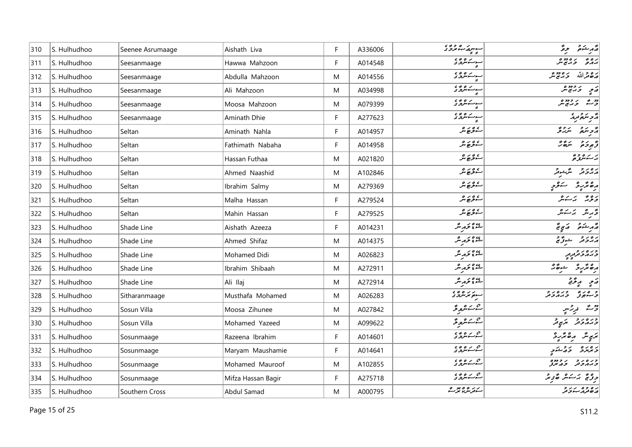| 310 | S. Hulhudhoo | Seenee Asrumaage | Aishath Liva       | F         | A336006 | سەسەر دەرە<br>مەسىر سىردى                            | ە ئەستىمى ب                                              |
|-----|--------------|------------------|--------------------|-----------|---------|------------------------------------------------------|----------------------------------------------------------|
| 311 | S. Hulhudhoo | Seesanmaage      | Hawwa Mahzoon      | F         | A014548 | __ <i>_______</i> __                                 |                                                          |
| 312 | S. Hulhudhoo | Seesanmaage      | Abdulla Mahzoon    | M         | A014556 | سەسە ئەرىجە ي<br>ئ                                   | برە تراللە<br>بر ه دو ه<br><del>پ</del> رې مګر           |
| 313 | S. Hulhudhoo | Seesanmaage      | Ali Mahzoon        | M         | A034998 | $\overline{\overline{\widetilde{H}}\ \widetilde{H}}$ | أتمرمج والمحدود والمحمد                                  |
| 314 | S. Hulhudhoo | Seesanmaage      | Moosa Mahzoon      | ${\sf M}$ | A079399 | $\overline{325}$                                     | ووقع كرودوه                                              |
| 315 | S. Hulhudhoo | Seesanmaage      | Aminath Dhie       | F         | A277623 | سەسە يىرى <i>دى</i>                                  | و سر آر مرد در مرکز در کار<br>مرکز در سر کار مرکز در کار |
| 316 | S. Hulhudhoo | Seltan           | Aminath Nahla      | F         | A014957 | ے وچ پر                                              | و څخه سرچ<br>سرچه                                        |
| 317 | S. Hulhudhoo | Seltan           | Fathimath Nabaha   | F         | A014958 | ے وچ عر                                              | توجدة المتفار                                            |
| 318 | S. Hulhudhoo | Seltan           | Hassan Futhaa      | M         | A021820 | ے وچ عر                                              | برسە ھەجەمچە                                             |
| 319 | S. Hulhudhoo | Seltan           | Ahmed Naashid      | M         | A102846 | ے وچ پر                                              | رەر د شەر<br>مەرى سىسى                                   |
| 320 | S. Hulhudhoo | Seltan           | Ibrahim Salmy      | M         | A279369 | ے وچ پر                                              | رەنزىر ئىنزى                                             |
| 321 | S. Hulhudhoo | Seltan           | Malha Hassan       | F         | A279524 | ے ویے مگر                                            | ۇۋرم بەسەھ                                               |
| 322 | S. Hulhudhoo | Seltan           | Mahin Hassan       | F         | A279525 | <u>، ور ه</u>                                        | ۇربۇ ئەسكىر                                              |
| 323 | S. Hulhudhoo | Shade Line       | Aishath Azeeza     | F         | A014231 | ي <sup>ە</sup> جۇمرىتر                               | وكرشكو وكالمح                                            |
| 324 | S. Hulhudhoo | Shade Line       | Ahmed Shifaz       | ${\sf M}$ | A014375 | يەم ئەر بىر<br>سىۋىم <i>ئىر</i>                      | د ۱۵ د صوتر محمد<br>  د بر د د سوتر مح                   |
| 325 | S. Hulhudhoo | Shade Line       | Mohamed Didi       | ${\sf M}$ | A026823 | ية وبرير                                             |                                                          |
| 326 | S. Hulhudhoo | Shade Line       | Ibrahim Shibaah    | ${\sf M}$ | A272911 | ية و <sub>محرم</sub> ر                               | رە ئۈرۈ<br>شەھ بر                                        |
| 327 | S. Hulhudhoo | Shade Line       | Ali Ilaj           | M         | A272914 | ية <sub>و ع</sub> مر مثر                             | أەسمج مريحتى                                             |
| 328 | S. Hulhudhoo | Sitharanmaage    | Musthafa Mohamed   | M         | A026283 | ر در ۵ پر ۵<br>سونو ترسرچر                           | د په دیږ<br>و رە ر د<br><i>د بە</i> پەر                  |
| 329 | S. Hulhudhoo | Sosun Villa      | Moosa Zihunee      | ${\sf M}$ | A027842 | <u>ش ئەسرە ئۇ</u>                                    | ارچ شه <sub>فری</sub> ر سپر                              |
| 330 | S. Hulhudhoo | Sosun Villa      | Mohamed Yazeed     | ${\sf M}$ | A099622 | 2 سەمبىرىگە                                          | כממכנה תוקית                                             |
| 331 | S. Hulhudhoo | Sosunmaage       | Razeena Ibrahim    | F         | A014601 | <u>م بە ھەم</u>                                      | بموبٹر برھ تربرد                                         |
| 332 | S. Hulhudhoo | Sosunmaage       | Maryam Maushamie   | F         | A014641 | <u>م بەھ يوتى</u>                                    | و ده ده دور دور                                          |
| 333 | S. Hulhudhoo | Sosunmaage       | Mohamed Mauroof    | ${\sf M}$ | A102855 | <u>م ئەيۋې ئ</u>                                     | כנסנכ נכחם<br>כגמכני כמינ                                |
| 334 | S. Hulhudhoo | Sosunmaage       | Mifza Hassan Bagir | F         | A275718 | <u>م بە ھەم</u>                                      |                                                          |
| 335 | S. Hulhudhoo | Southern Cross   | Abdul Samad        | M         | A000795 | سەدرە ەيىر ھ                                         | ر ه د ه بر ر د<br>پره تر پر سرو تر                       |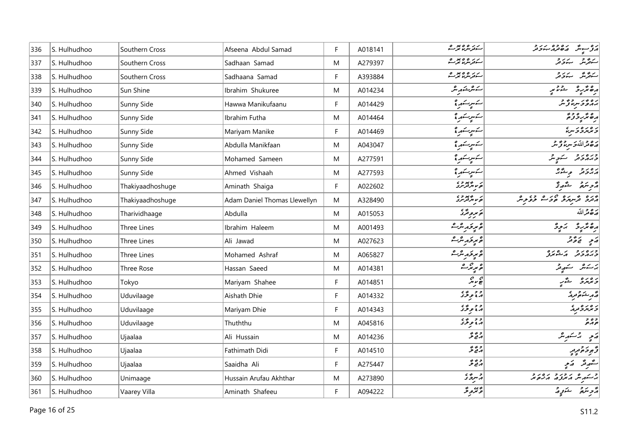| 336 | S. Hulhudhoo | Southern Cross   | Afseena Abdul Samad          | F | A018141 | سەدرە ەير ھ                                                                 | ره به شده وه بر برد<br>در کار میگر می فرم جو فر |
|-----|--------------|------------------|------------------------------|---|---------|-----------------------------------------------------------------------------|-------------------------------------------------|
| 337 | S. Hulhudhoo | Southern Cross   | Sadhaan Samad                | M | A279397 | ر ر ر ه ه مر ه<br>سوز سربر مر شو                                            | سەۋرىش سەرد                                     |
| 338 | S. Hulhudhoo | Southern Cross   | Sadhaana Samad               | F | A393884 | ر ر ه ه مر ه<br>سورسربر تر ب                                                | سەتەش سەر ج                                     |
| 339 | S. Hulhudhoo | Sun Shine        | Ibrahim Shukuree             | M | A014234 | سەن <i>ىرى ھەر</i> بىر                                                      | وە ئۆرۈ<br>شەر قىمىز                            |
| 340 | S. Hulhudhoo | Sunny Side       | Hawwa Manikufaanu            | F | A014429 | سە <sub>سو</sub> سەر ؟<br>سەس <sub>ە</sub>                                  |                                                 |
| 341 | S. Hulhudhoo | Sunny Side       | Ibrahim Futha                | M | A014464 | سە يېرىسە يەم<br>سە                                                         | ە ھېڭرىر <i>ۋە ۋە</i>                           |
| 342 | S. Hulhudhoo | Sunny Side       | Mariyam Manike               | F | A014469 | سە يېرىسى <i>م</i> ە                                                        | د ۱۳۶۵ د سره                                    |
| 343 | S. Hulhudhoo | Sunny Side       | Abdulla Manikfaan            | M | A043047 | سە يېرىسىدە<br>مەس                                                          | أرَة قَدَاللّهَ تَسْرِينَ قُرَيْتَر             |
| 344 | S. Hulhudhoo | Sunny Side       | Mohamed Sameen               | M | A277591 | سە <sub>سوسى</sub> مەر ؟<br>سەس <sub>ىر</sub>                               | ورورو کوپر                                      |
| 345 | S. Hulhudhoo | Sunny Side       | Ahmed Vishaah                | M | A277593 | سە <sub>سو</sub> سەر ؟<br>سەس <sub>ۇ</sub>                                  | رەرو رېمو                                       |
| 346 | S. Hulhudhoo | Thakiyaadhoshuge | Aminath Shaiga               | F | A022602 | ر<br>حوړ مرکز مر <sub>ک</sub>                                               | أأوسكم فتكرقي                                   |
| 347 | S. Hulhudhoo | Thakiyaadhoshuge | Adam Daniel Thomas Llewellyn | M | A328490 | ر په پېړو د په<br>موسر ترسر د                                               | وره و برو وړه وو و                              |
| 348 | S. Hulhudhoo | Tharividhaage    | Abdulla                      | M | A015053 | ړ<br>حومرو تر د                                                             | مەھىراللە                                       |
| 349 | S. Hulhudhoo | Three Lines      | Ibrahim Haleem               | M | A001493 | ە بېرىخەر بىرىشە<br>م                                                       |                                                 |
| 350 | S. Hulhudhoo | Three Lines      | Ali Jawad                    | M | A027623 | ە بېرى <i>خەر</i> بىرىشە                                                    | پر سمی پر پر پر                                 |
| 351 | S. Hulhudhoo | Three Lines      | Mohamed Ashraf               | M | A065827 | ە بېرىخەر بىرى<br>م                                                         | وره رو به ۱۵۷۵<br><i>وبروونو</i> به شوبونو      |
| 352 | S. Hulhudhoo | Three Rose       | Hassan Saeed                 | M | A014381 | ە بېرىرگ<br>موس <sub>ىر</sub>                                               | برَسَكَ سَمَدِيرٌ                               |
| 353 | S. Hulhudhoo | Tokyo            | Mariyam Shahee               | F | A014851 | $\overline{\mathcal{S}_{\mathbf{y}}\mathcal{S}_{\mathbf{z}}^{\mathcal{C}}}$ | ر ه ر ه<br><del>و</del> بربرو<br>مشتمر<br>مشتمر |
| 354 | S. Hulhudhoo | Uduvilaage       | Aishath Dhie                 | F | A014332 | د د په په<br>مروڅ د                                                         | ا په مه شوه تورکه<br>م                          |
| 355 | S. Hulhudhoo | Uduvilaage       | Mariyam Dhie                 | F | A014343 | د د په په<br>مروڅونه                                                        | ג ם גם ה<br>ב <b>נ</b> תב בנה                   |
| 356 | S. Hulhudhoo | Uduvilaage       | Thuththu                     | M | A045816 | د د په په<br>مروغ د                                                         | و ه و<br>حوار حو                                |
| 357 | S. Hulhudhoo | Ujaalaa          | Ali Hussain                  | M | A014236 | د ه څ څ                                                                     | ە ئەسىر ئە                                      |
| 358 | S. Hulhudhoo | Ujaalaa          | Fathimath Didi               | F | A014510 | د دي گر                                                                     | ر<br>ژ <sub>نجو</sub> د کارور                   |
| 359 | S. Hulhudhoo | Ujaalaa          | Saaidha Ali                  | F | A275447 | د دي گر                                                                     | ستمرش الأمر                                     |
| 360 | S. Hulhudhoo | Unimaage         | Hussain Arufau Akhthar       | M | A273890 | د سرچ ی<br>م                                                                | د در ه درور ده درو<br>پرستهرس پر پروه پر زمر    |
| 361 | S. Hulhudhoo | Vaarey Villa     | Aminath Shafeeu              | F | A094222 | ۇتئەرگ                                                                      | مەمەسىمە ئىسىم                                  |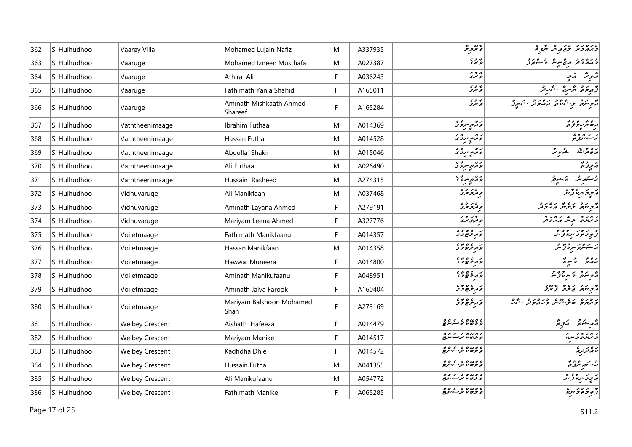| 362 | S. Hulhudhoo | Vaarey Villa           | Mohamed Lujain Nafiz               | M           | A337935 | و بر<br>  قەتىر بورىتى                                       | ورور و ورشر شره                                                    |
|-----|--------------|------------------------|------------------------------------|-------------|---------|--------------------------------------------------------------|--------------------------------------------------------------------|
| 363 | S. Hulhudhoo | Vaaruge                | Mohamed Izneen Musthafa            | M           | A027387 | یز و ،<br>حرمور                                              | ورەرو رېږيږيگر و مور                                               |
| 364 | S. Hulhudhoo | Vaaruge                | Athira Ali                         | F.          | A036243 | یز و ،<br>حرمور                                              | أوجو يتمر أوكمني                                                   |
| 365 | S. Hulhudhoo | Vaaruge                | Fathimath Yania Shahid             | F           | A165011 | یز و ،<br>حرمزی                                              | و و د و مرسمهٔ څرمه                                                |
| 366 | S. Hulhudhoo | Vaaruge                | Aminath Mishkaath Ahmed<br>Shareef | F           | A165284 | یږ و ،<br>حرمرۍ                                              | د د د و د ده د ده د و د د د و<br>مرد شي و شما و مدد تد کم شکړن     |
| 367 | S. Hulhudhoo | Vaththeenimaage        | Ibrahim Futhaa                     | M           | A014369 | ر و موسر د ،<br>عرو موسر د ک                                 | ە ئە ئەرە دە<br>بەھ ئەرىر نوم                                      |
| 368 | S. Hulhudhoo | Vaththeenimaage        | Hassan Futha                       | M           | A014528 | ر و <sub>موجود</sub> ي<br>ع <sub>ا</sub> موسيز               | بر سەھرىدى                                                         |
| 369 | S. Hulhudhoo | Vaththeenimaage        | Abdulla Shakir                     | M           | A015046 | ر و <sub>موس</sub> و ،<br>و ډې <sub>و</sub> سرچ <sub>ک</sub> | ەھىراللە<br>يتمرس                                                  |
| 370 | S. Hulhudhoo | Vaththeenimaage        | Ali Futhaa                         | M           | A026490 | ر و <sub>موسرچ ء</sub>                                       | ە پەرە                                                             |
| 371 | S. Hulhudhoo | Vaththeenimaage        | Hussain Rasheed                    | M           | A274315 | ر و <sub>موسر</sub> و ،<br>ع <sub>ا</sub> موسرو د            | رحم المراكز المركب وكر                                             |
| 372 | S. Hulhudhoo | Vidhuvaruge            | Ali Manikfaan                      | M           | A037468 | و ر و ،<br>و تر <i>و بر</i> تر                               | ە ئېرىز ئىرىدۇ ئىر                                                 |
| 373 | S. Hulhudhoo | Vidhuvaruge            | Aminath Layana Ahmed               | F           | A279191 | و د د د .<br>و ترو بر <u>.</u>                               | و برو برویز در دورو                                                |
| 374 | S. Hulhudhoo | Vidhuvaruge            | Mariyam Leena Ahmed                | F           | A327776 | و ر و ،<br>و ترو بر <sub>ک</sub>                             | د ۱۵ و په ډېر د د                                                  |
| 375 | S. Hulhudhoo | Voiletmaage            | Fathimath Manikfaanu               | F           | A014357 | ر پره وي<br><i>ورځ</i> وڅ                                    |                                                                    |
| 376 | S. Hulhudhoo | Voiletmaage            | Hassan Manikfaan                   | M           | A014358 | ر وه وو و و<br>مرکز هو د د                                   | ئەسەملە <i>كە بىرىدۇ</i> تىر                                       |
| 377 | S. Hulhudhoo | Voiletmaage            | Hawwa Muneera                      | $\mathsf F$ | A014800 | ر پروه د ،<br>قرم گوري                                       | برە ئە ئەر                                                         |
| 378 | S. Hulhudhoo | Voiletmaage            | Aminath Manikufaanu                | F           | A048951 | ۇ بر ۋە ئ                                                    | أواللهم وسناؤه                                                     |
| 379 | S. Hulhudhoo | Voiletmaage            | Aminath Jalva Farook               | F           | A160404 | ر په وو په<br><i>و</i> بر وو د                               | و د د د ده و ودو                                                   |
| 380 | S. Hulhudhoo | Voiletmaage            | Mariyam Balshoon Mohamed<br>Shah   | F           | A273169 | ر په ووي<br><i>و</i> برخ و د                                 | ر 0 ر 0 ر 0 دو 0 ور 0 ر و مدو<br>و بر بر ص و شوس و بر بر و تر مشور |
| 381 | S. Hulhudhoo | <b>Welbey Crescent</b> | Aishath Hafeeza                    | $\mathsf F$ | A014479 | ه وړه و و و و و<br><i>و و ه ما مر</i> سوس                    | أشركت تريتي                                                        |
| 382 | S. Hulhudhoo | <b>Welbey Crescent</b> | Mariyam Manike                     | F           | A014517 | ه وړه و د ده ده<br>و <del>وه</del> لامر سومبر                | ן פינים ק"<br>פינקו <i>ב פ</i> ייקט                                |
| 383 | S. Hulhudhoo | <b>Welbey Crescent</b> | Kadhdha Dhie                       | F           | A014572 | ، وړ، و ، د ، و و<br>و <del>ز</del> <i>ه لا بر</i> سربر      | ر ە ر<br>ئەمەترىر <i>ە</i> ر                                       |
| 384 | S. Hulhudhoo | <b>Welbey Crescent</b> | Hussain Futha                      | M           | A041355 | ې وې و د د د و و<br>و <del>ژ</del> وه لا بر سوسرچ            | ج سەمەسىر ئ <sup>ى</sup> ر                                         |
| 385 | S. Hulhudhoo | <b>Welbey Crescent</b> | Ali Manikufaanu                    | M           | A054772 | ه وړه و و و و و<br>و <del>و ه</del> لا بر سرمبر              | ە ئېرىز ئەرتە ئۇ ئىر                                               |
| 386 | S. Hulhudhoo | <b>Welbey Crescent</b> | Fathimath Manike                   | E           | A065285 | ه وړه و و و و و<br><i>و و ه ما مر</i> سوس                    | اؤ و د د د سره                                                     |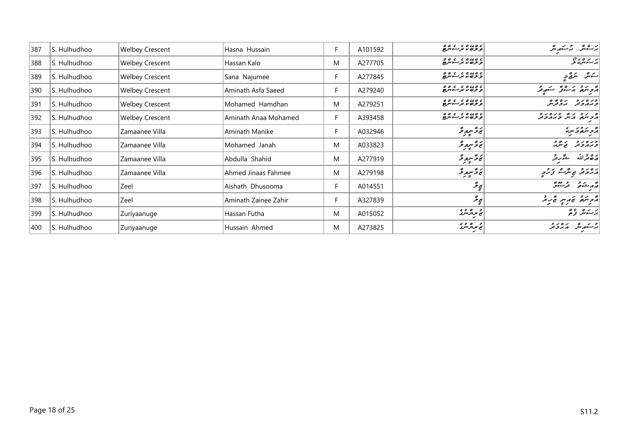| 387 | S. Hulhudhoo   | <b>Welbey Crescent</b> | Hasna Hussain        | F  | A101592 | ، وړ، و ، د ، و ه<br>ونژه لا بر سومبر                 | برُسْهنگر<br>$\circ$ $\prime$ $\circ$<br>برسور سو |
|-----|----------------|------------------------|----------------------|----|---------|-------------------------------------------------------|---------------------------------------------------|
| 388 | S. Hulhudhoo   | <b>Welbey Crescent</b> | Hassan Kalo          | M  | A277705 | ooc couoc<br>و و قائم شوشور                           | بر سەھ بەرى                                       |
| 389 | S. Hulhudhoo   | <b>Welbey Crescent</b> | Sana Najumee         | F  | A277845 | ، ٥ ، ٥ ، ٥ ، ٥ ، ٥<br>و و ۵ م مر سوسرچ               | سەپىر<br>سرة و                                    |
| 390 | S. Hulhudhoo   | <b>Welbey Crescent</b> | Aminath Asfa Saeed   | F  | A279240 | ، وړ، و ، د و ه<br>و <del>ز</del> <i>ه لا بر</i> سربع | المروسي كالمسوش كتاريخها                          |
| 391 | S. Hulhudhoo   | <b>Welbey Crescent</b> | Mohamed Hamdhan      | M  | A279251 | ه وړه د د ده ده<br>د <del>ر</del> خه لمړ سومبر        | و رە ر د<br>تر پر تر تر<br>بروترس                 |
| 392 | S. Hulhudhoo   | <b>Welbey Crescent</b> | Aminath Anaa Mohamed | F  | A393458 | ، ٥ ، ٥ ، ٥ ، ٥ ، ٥<br>و و ۵ م مر سوسرچ               | י גי גי כגם בקרים.<br>גרשים גייל בגגבת            |
| 393 | S. Hulhudhoo   | Zamaanee Villa         | Aminath Manike       | F  | A032946 | ئەۋسپەرتۇ                                             | د گر سرچ کر سر                                    |
| 394 | S. Hulhudhoo   | Zamaanee Villa         | Mohamed Janah        | M  | A033823 | ئ ۇ سرە ئۇ                                            | و ره ر و<br><i>و پر</i> و تر<br>ى ئىر ئە          |
| 395 | l S. Hulhudhoo | Zamaanee Villa         | Abdulla Shahid       | M  | A277919 | $\overline{\phantom{a}}$<br>ئج پڻ سرھ پُ<br>- 2       | مەھىراللە<br>مشگر رقر                             |
| 396 | S. Hulhudhoo   | Zamaanee Villa         | Ahmed Jinaas Fahmee  | M  | A279198 | ئەقەسىرىمىتىر                                         | رور د پرشه زرد په                                 |
| 397 | S. Hulhudhoo   | Zeel                   | Aishath Dhusooma     | F. | A014551 | ىچوگ                                                  |                                                   |
| 398 | l S. Hulhudhoo | Zeel                   | Aminath Zainee Zahir | F. | A327839 | ىچو                                                   | أقرمتم تمرس تمرتز                                 |
| 399 | S. Hulhudhoo   | Zuriyaanuge            | Hassan Futha         | M  | A015052 | د په دره دره<br>مح مورد سرچ                           | بر کے میٹر پر خو                                  |
| 400 | S. Hulhudhoo   | Zuriyaanuge            | Hussain Ahmed        | M  | A273825 | د په پېژندنه<br>پم <del>پ</del> روز سرچ               | بر کشمه شد مدیر در د                              |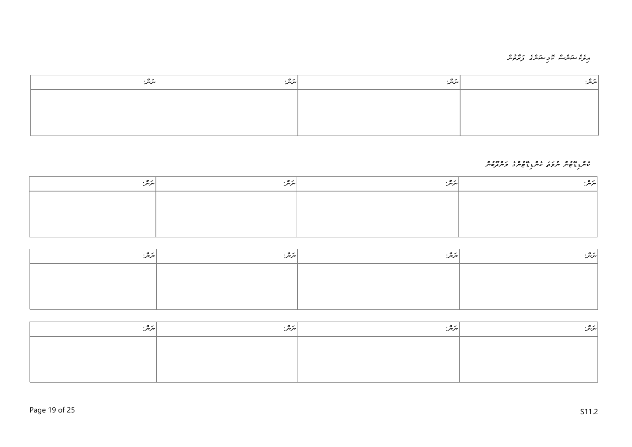## *w7qAn8m? sCw7mRo>u; wEw7mRw;sBo<*

| ايئرمين | $\overline{\phantom{a}}$ | ىر تە |
|---------|--------------------------|-------|
|         |                          |       |
|         |                          |       |
|         |                          |       |

## *w7q9r@w7m> sCw7qHtFoFw7s; mAm=q7 w7qHtFoFw7s;*

| ىر تە | $\mathcal{O} \times$<br>$\sim$ | $\sim$<br>. . | لترنثر |
|-------|--------------------------------|---------------|--------|
|       |                                |               |        |
|       |                                |               |        |
|       |                                |               |        |

| $\frac{2}{n}$ | $\overline{\phantom{a}}$ | اير هنه. | $\mathcal{O} \times$<br>سرسر |
|---------------|--------------------------|----------|------------------------------|
|               |                          |          |                              |
|               |                          |          |                              |
|               |                          |          |                              |

| ' ئىرتىر: | سر سر |  |
|-----------|-------|--|
|           |       |  |
|           |       |  |
|           |       |  |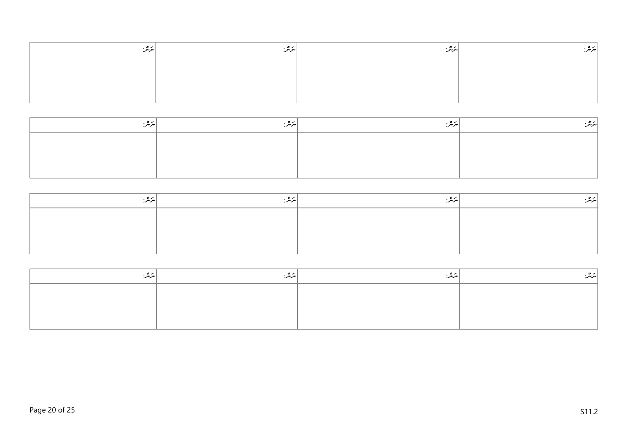| يزهر | $^{\circ}$ | ىئرىتر: |  |
|------|------------|---------|--|
|      |            |         |  |
|      |            |         |  |
|      |            |         |  |

| <sup>.</sup> سرسر. |  |
|--------------------|--|
|                    |  |
|                    |  |
|                    |  |

| ىئرىتر. | $\sim$ | ا بر هه. | لىرىش |
|---------|--------|----------|-------|
|         |        |          |       |
|         |        |          |       |
|         |        |          |       |

| ابترىش: | $\mathcal{O} \times$<br>بمعرضور | $\overline{\phantom{a}}$ |  |
|---------|---------------------------------|--------------------------|--|
|         |                                 |                          |  |
|         |                                 |                          |  |
|         |                                 |                          |  |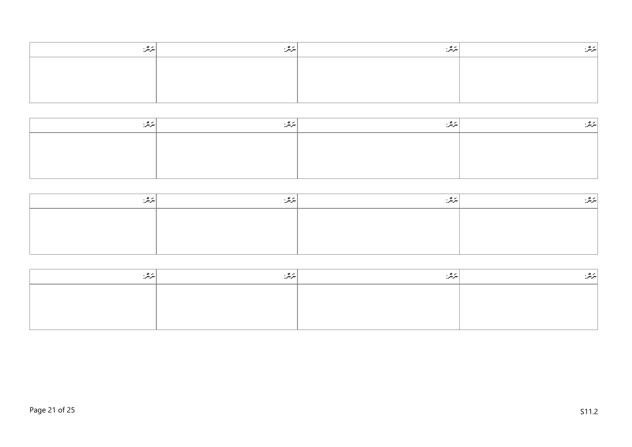| ير هو . | $\overline{\phantom{a}}$ | يرمر | اير هنه. |
|---------|--------------------------|------|----------|
|         |                          |      |          |
|         |                          |      |          |
|         |                          |      |          |

| ئىرتىر: | $\sim$<br>ا سرسر . | يئرمثر | o . |
|---------|--------------------|--------|-----|
|         |                    |        |     |
|         |                    |        |     |
|         |                    |        |     |

| 'تترنثر: | ر ه |  |
|----------|-----|--|
|          |     |  |
|          |     |  |
|          |     |  |

|  | . ه |
|--|-----|
|  |     |
|  |     |
|  |     |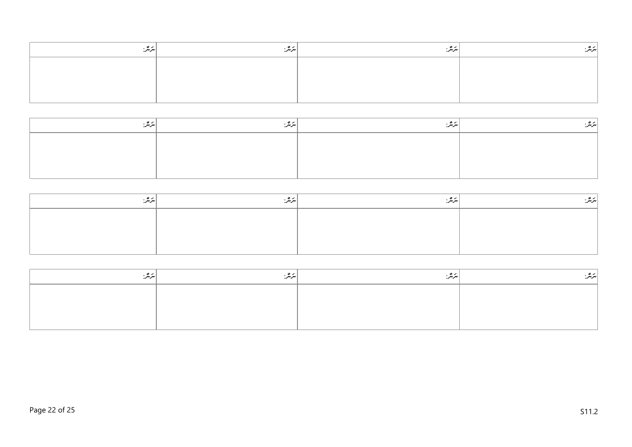| ير هو . | $\overline{\phantom{a}}$ | يرمر | اير هنه. |
|---------|--------------------------|------|----------|
|         |                          |      |          |
|         |                          |      |          |
|         |                          |      |          |

| ئىرتىر: | $\sim$<br>ا سرسر . | يئرمثر | o . |
|---------|--------------------|--------|-----|
|         |                    |        |     |
|         |                    |        |     |
|         |                    |        |     |

| 'تترنثر: | ر ه |  |
|----------|-----|--|
|          |     |  |
|          |     |  |
|          |     |  |

|  | . ه |
|--|-----|
|  |     |
|  |     |
|  |     |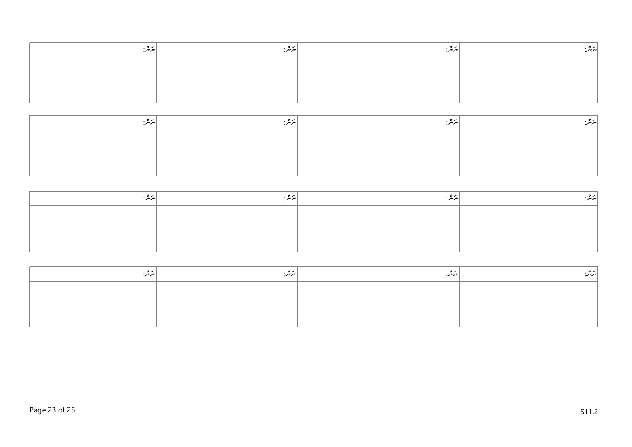| $\cdot$ | 。 | $\frac{\circ}{\cdot}$ | $\sim$<br>سرسر |
|---------|---|-----------------------|----------------|
|         |   |                       |                |
|         |   |                       |                |
|         |   |                       |                |

| ايرعر: | ر ه<br>. . |  |
|--------|------------|--|
|        |            |  |
|        |            |  |
|        |            |  |

| بر ه | . ه | $\sim$<br>سرسر |  |
|------|-----|----------------|--|
|      |     |                |  |
|      |     |                |  |
|      |     |                |  |

| 。<br>. س | ىرىىر |  |
|----------|-------|--|
|          |       |  |
|          |       |  |
|          |       |  |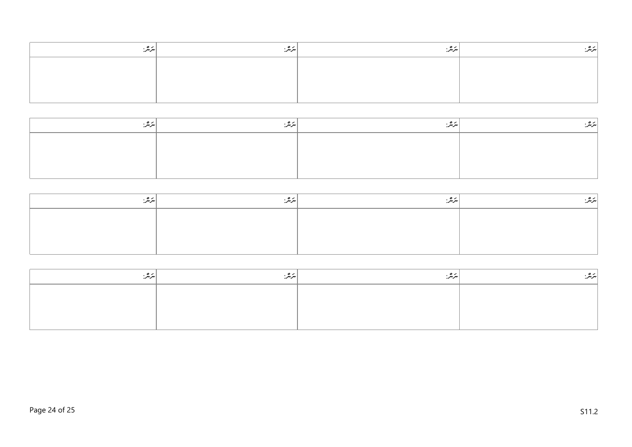| ير هو . | $\overline{\phantom{a}}$ | يرمر | اير هنه. |
|---------|--------------------------|------|----------|
|         |                          |      |          |
|         |                          |      |          |
|         |                          |      |          |

| ئىرتىر: | $\sim$<br>ا سرسر . | يئرمثر | o . |
|---------|--------------------|--------|-----|
|         |                    |        |     |
|         |                    |        |     |
|         |                    |        |     |

| انترنثر: | ر ه |  |
|----------|-----|--|
|          |     |  |
|          |     |  |
|          |     |  |

| $\tilde{\phantom{a}}$<br>سرسر. |  |  |
|--------------------------------|--|--|
|                                |  |  |
|                                |  |  |
|                                |  |  |